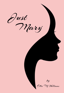Just<br>Mary by Ettie M. Williams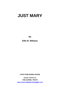**By** 

**Effie M. Williams** 

**FAITH PUBLISHING HOUSE** 

*Digitally Published by*  **THE GOSPEL TRUTH www.churchofgodeveninglight.com**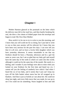# **Chapter I**

Mother Harmon glanced at the postmark on the letter which the delivery man left in her mail box, and then hastily breaking the seal, she drew a few sheets of folded paper from the envelope and began to read: My Own Dear Mother:

How awful it is for me to try to write to you this morning, and I know that you will scold me for so doing, but I just had to write to you so that your anxiety will be relieved, for I know that you have been very anxious for the past few days. I can now tell you that it is all over, and we have a lovely little daughter which was born yesterday afternoon. It seems remarkable to me that my firstborn should be born a Thursday afternoon and be a girl the same as yours was, but I am so glad that my baby girl and myself have the same day of the week in which we came into this world, although it could not be the same day of the month. She surely is a darling, and I wonder if your feelings were akin to mine when you looked on your firstborn for the first time and heard my cry. I cannot tell you the feeling of motherly love which I had when I heard the cry of my baby, and it seems that I just can't keep my eyes off the little basket where nurse has her all wrapped up in blankets. And Dan is just as foolish as I am about her. He could not sleep last night, and every little move that was made, he was up to see if he could not do something. Nurse laughed at him and told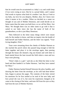him he would soon be accustomed to a baby's cry and could sleep if two were crying at once. But he is a proud father, and I cannot find words to express what kind of a mother I am. But as I look at my baby, my love for you deepens, Mother, dear, for I know now what it means to be a mother. When we decided on a name we thought of you and of Mother Dennison, and could decide on no better name than the name you both have, so we call her Mary. Just Mary. We thought there was no other name to go with it that is suited to our baby since she has the name of both of her grandmothers, so she is just Mary Dennison.

Then followed in the letter many things which were meant only for the mother to know, and then an inquiry into the health of both herself and Father Harmon, and the letter was signed, "Your loving daughter, Elsie."

Tears were streaming down the cheeks of Mother Harmon as she reached the porch where she paused long enough to fold the letter together and place it in the envelope again, then passing through the house she donned a big sun bonnet and with letter in hand started down the lane toward the field where a man and two boys were plowing.

"Elsie's baby is a girl," said she as she lifted the letter in her hand and then handed it to Father Harmon, "and they have named her Mary."

Father Harmon backed himself between the plow handles, and drawing the letter from the envelope, as his wife had done before him, began to peruse the pages. The contents of the letter stirred his emotions for he first smiled as he read of the new baby and how proud she was of it, but soon his expression changed as he came to the closing of the letter, and tears fell from his eyes as they had from the eyes of Mother Harmon.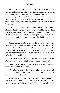Folding the letter, he placed it in the envelope, handed it back to Mother Harmon, and said, "Well, I am glad. And I was almost sure that they would name her Mary should the baby be a girl, but isn't it strange that it is just Mary? I think I could have found a name to go with it. Ann, Jane, Elizabeth, Lou, or Susan—any of them would sound good with Mary, and they could have called her by both names."

"Yes, I think they sound all right myself," said Mother Harmon, "but I guess they wanted it to be just Mary, and I think that is all right. But would you not like to see the little thing? I can almost see it, for I am sure that Mary is just like Elsie was when she was born, with a little round face and a head of hair as black as a crow."

At this time the two boys came to the end of the furrow they were plowing, wrapped the lines around the plow handles, and came to where Father and Mother Harmon were, only to hear the same as Father Harmon had heard, for as soon as they came near enough for Mother Harmon to make them hear her call she said, "Elsie has a little girl baby."

"Yes," said Father Harmon, "you are Uncle Roy and Uncle Dave now, and you have a little niece whose name is Mary."

"Huh," said the younger of the two, who was Roy, "I don't see why it couldn't have been a boy."

"The principal reason why it could not be a boy is because it is a girl," laughingly replied Father Harmon, "and I think that is reason enough; don't you?"

Roy had no reply to make, but Dave said, "I do not know as it makes much difference to me which it is, but it seems like I am getting old, to be called Uncle Dave." "You can't expect her to call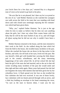you Uncle Dave for a few days yet," retorted Roy in a disgusted tone of voice as he turned to go back to his plow.

"He acts like he is not pleased, but I dare say he is as proud as the rest of us," said Mother Harmon as she watched her youngest son walk across the field to his team that was standing with head down and with closed eyes seemingly enjoying the few minutes' rest which had been given them.

"Why, yes," replied Father Harmon; "he is just at the age when he tries to make us believe that he does not care anything about the girls, but I dare say when Elsie comes home with the baby that he will be the most foolish of any of us, and will forget all about saying that he did not see why it couldn't have been a boy."

Mother Harmon returned to the house, and the men returned to their work in the field. As she walked along the lane which led from the field to the house, she recalled many incidents in the past. When she reached the house she sat down in the big rocker in the kitchen, and with a far-off look in her eyes, lived over the past. She saw herself a little girl with braided hair carrying the little dinner pail to the country schoolhouse, and the many interesting happenings of her early school life. In all her school life she had been the girl of the man she had married, and as she sat in that old rocker recalling many incidents of the past she would smile and then sigh and then smile again. Many years had passed, but she had not forgotten the many little dainties that had been given her by her schoolboy lover. A flush spread over her face as she recalled the first valentine she had ever received. It was one of those lovely, lacy valentines with two hearts pierced through with an arrow, and a little boy holding an envelope in his hand containing the verse, "As sure as the stars in heaven shine, I want you for my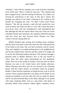Valentine." And with the valentine was a note from her schoolboy lover which read, "Mary, I really do want you." The valentine had been wrapped nicely; and the evening of February 14, as Mary was leaving the schoolroom at the close of that day's school, this package was placed in her hand. Glancing at the writing on the outside the wrapping she read, "To Mary Colton from Oliver Harmon." She did not unwrap it until she had reached her own room at home, and when she did so it was with a heart that beat a rat-a-tat-tat. How well she remembered it and remembered also that although she had not chosen Oliver from any of the rest of her schoolboy friends and classmates, the valentine settled the question with her! From that time forward Oliver Harmon was Mary Colton's favorite among them all.

Mother Harmon kept rocking and recalling many incidents, and her mind went back to the time when she first entertained him in her home as her beau. She was then seventeen; and he twenty. They were together at an apple-peeling given in the neighborhood, and he had walked home with her and then asked if he might call to see her the following Sunday afternoon. This memory brought a pleasant smile to Mother Harmon's face as she saw herself in calico dress and white apron entertaining her first gentleman friend. This was in the month of October; from that time on Oliver Harmon was seen at the Colton home each Sunday afternoon. When Christmas time drew near, he was invited to eat Christmas dinner with the Colton family, an invitation which he accepted. Mother Colton had the reputation of being the best cook in all the country; Oliver prepared himself to eat plenty of her dinner by not eating any breakfast at all, but when the call was made for dinner and he was placed beside Mary at the table, although it was spread with many tempting dishes such as a big turkey with plenty of dressing, baked sweet potatoes, baked apples, cranberry sauce,

5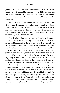pumpkin pie, and many other toothsome dainties, it seemed his appetite had left him and he could eat but very little; and Mary did not take anything on her plate at all. How well Mother Harmon remembered this and smiled again as she rocked to and fro in the big rocker!

For three years Oliver Harmon was a weekly visitor at the Colton home. Then came the wedding, which took place on Easter Sunday, and he brought his bride to the little log house which he had built on the place on which they were now living which was then a wooded tract of land, a part of the Harmon homestead, which was given to Oliver by his father.

How they labored together to get some cleared that they might farm some that year! Mary was by Oliver's side in all that he did, for she had been reared on the farm and was well acquainted with all kinds of hard labor. The third year passed and Mary and Oliver had cleared several acres of their land but left a small wooded tract for pasture for their cows. They were very prosperous; and each year marked a financial gain for them. The third year of their life together Elsie was born, and when she was a small baby just beginning to toddle about these two were awakened to their spiritual need through the illness of their only child. Elsie was very ill her second summer, and her life was despaired of. When the two saw their darling wasting away to a mere skeleton and lying almost lifeless before them they knelt by her little crib and each promised God if he would but spare her to them they would serve him and endeavor to rear the child in the way that would please God. The child was spared, and they did not forget the vow made, each giving his heart to God. From infancy, Elsie remembered the family altar where Father Harmon called the family together, reading from the Word of God, and then kneeling to ask God's

6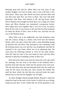blessings upon him and his. When Elsie was four years of age another daughter was born to them, only to stay with them a few short hours. Three years later David was born; and then three and one half years later Roy was born to them. The years had dealt pleasantly with them, and instead of the old log house where Oliver Harmon first brought his bride there was a large new frame house and Oliver Harmon was considered a prosperous farmer. How happy they were together! But it was not to last, for grown birds do not want to stay always in the nest that has been prepared for them but desire to find a nest of their own, and that was the way in the Harmon home.

When Elsie was in her eighteenth year Dan Dennison came into the country, hiring to a farmer who lived near the Harmon family, and it was only a short time until a warm friendship sprang up between him and Elsie. Dan remained in the community until the farming season was over and the corn all gathered, and then he returned to his own home which was in an adjoining state. He came back the following summer to work for the same farmer. That fall when he went to his own home he took with him Elsie Harmon to help him in building a home of their own.

Elsie had never been away from her home but a few days until her marriage, but she went to the home of her husband with a promise from him that she could visit her parents twice each year. This she had done until she had informed them that she could not come for her usual visit that year. How anxious the mother felt until the letter which she had that day received broke the much desired news to her that her daughter was all right!

As these thoughts flitted through Mother Harmon's mind she rested her head on the back of the rocker in which she was sitting, looked up and said, "Lord, I thank thee for all thy goodness to me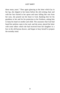these many years." Then again glancing at the letter which lay in her lap, she slipped to her knees before the old rocking chair and with her face buried in her apron and tears falling like rain from her eyes, she poured out her heart to God, thanking him for his goodness to her and for his protection to her firstborn, asking him to keep his hand on mother and child. The assurance that God had heard her petition came to her soul, and she arose, placed the letter with some others which she had received from her daughter in a box in the old bureau drawer, and began to busy herself to prepare the noonday meal.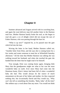# **Chapter II**

Summer advanced and August arrived with its scorching heat, and again the rural delivery man left another letter in the Harmon mail box. Mother Harmon hastily broke the seal; as she began to read she gave a cry of delight which did not escape the ears of Father Harmon, who was passing through the barn lot.

"What is up now?" inquired he, as he paused near the gate which led into the lane.

Waving the letter in her hand, Mother Harmon called out, "Another letter from Elsie, and she says she is coming home for a few weeks and wants someone to meet her at Whitefield Saturday afternoon." All the time that Mother Harmon was talking she was walking toward her husband, and when she reached the gate she handed him the letter that he might read it for himself.

True enough, Elsie was coming home again, bringing little Mary that the grandparents might see what to her was the most wonderful baby on earth. Ever since Mary had come into the Dennison home, Elsie's letters had been full of what a wonderful baby she had. This would always be the source of much amusement on the part of her father and mother, for they expected nothing else, but occasionally David and Roy would say, "Why can't she tell us something else besides, 'Baby, baby' all the time? She seldom says a word about Dan any more. You would not think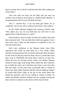there is anyone else in all the world but that baby after reading one of her letters."

"Just wait until you boys see her baby and you may not wonder at her writing so much about it," replied Father Harmon. "I am guessing that each of you will think the same."

"Not I," retorted Roy. "I do not think girl babies are so wonderful. I do not see why it could not have been a boy anyhow."

At this Father Harmon laughed and, turning to David, said, "How about you, son, do you think that you will have to turn against Elsie's baby because it is a girl?"

David looked at first his father and then his mother and noted their expectant look. "I do not think that I shall turn against it, but I have never seen a baby yet that seemed so wonderful to me," he said and turned away.

Such were conditions in the Harmon home when Elsie announced she would be with them for a few weeks. When Saturday morning dawned all was hustle and bustle about the place for the work for that day must be done, and as it would take some time to go to Whitefield and return there could be no time lost. When the hour for leaving arrived, Father and Mother Harmon found two boys eager to go along. When asked why they wanted to go so badly the reply was it had been more than a year since they had seen Elsie. It took some time to persuade them to remain at home, but when Father Harmon told Roy that he might go along if he would hold Elsie's baby on his lap on the return home that settled the question, and he was willing to remain at home. So Father and Mother Harmon climbed into the carriage, leaving the boys at home to attend to some chores which must be done.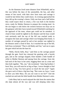As the Harmons lived some distance from Whitefield, and as this was before the days of the automobile, the bus, and other means of fast travel, with their slow farm team and carriage it would be late before they could return. As evening approached the boys did up the evening's chores. Fully one hour and a half before they could expect them to return, a fire was built in the kitchen stove, ready for Mother Harmon to prepare the evening meal. As the sun began to sink below the western horizon two boys sat on the gatepost with their faces turned toward Whitefield watching for the approach of the team, whose gait could not be mistaken. A cloud of dust would be sighted in the distance and the boys would wait anxiously until the top of the hill was reached ready to recognize the team and carriage which was bringing Elsie home. A number of carriages passed by and at last another was sighted in the distance amid a cloud of dust. As it reached the top of the hill, both boys exclaimed, "That is old Baldy and Fan," and ran to open the gate which led into the barn lot.

"Hello, David; hello, Roy," said Elsie as the carriage passed through the gate. Each boy returned the greeting with a boyish grin, and as the carriage stopped, Elsie handed a little bundle of white to Mother Harmon and sprang from the carriage. Soon she had each of the boys in her arms, hugging them one at a time and then both together. "My, my," she exclaimed, "what big brothers I have! Roy, you will soon be as big as Papa. I never thought to find you boys so big. You have grown so much the last year!" Again she gave each of them a big bear hug. "But come on, boys, I want to show you little Mary. Do you not want to see her?" And she reached out and took the little bundle from Mother Harmon's arms.

Little Mary had so much enjoyed the ride from the station that she slept almost all the way and was still sleeping when they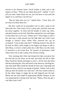arrived at the Harmon home. David looked at baby and to the inquiry of Elsie, "What do you think about her?" replied, "I can't tell you what I think about her yet; you will have to wait until she begins to cry and then I can tell you."

"But my baby does not cry," replied Elsie. "Come, Roy, tell me what you think about her."

But Roy could not be persuaded even to take a peep at the little baby face. Elsie took it all as a great joke, and they went into the house together. As Elsie laid the bundle of white cap, dress, and pink bootees on the bed, little Mary opened her eyes and began to look about her as if to say, "Where am I?" Elsie began to talk to her, and soon a smile spread over the little baby face which went straight to David's heart. When Elsie removed her cap he exclaimed, "Look at that curly hair!" Walking around to the side of the bed, he lifted a little ringlet in his fingers and began to talk to little Mary, to receive a baby smile also. Little Mary was the center of attraction to all except Roy. No amount of persuasion could induce him even to take a peep at her all that evening.

Next morning after Elsie had dressed the baby and given her her feed she lay her down on the bed, and when she did so little Mary found her thumb and began to suck it. All the time that Elsie had been dressing her, Roy had stood in the doorway watching her, and when little Mary found her thumb he burst into a big laugh and before he knew what he was doing exclaimed, "Mama, look at that baby go after her thumb; isn't that cute?" His face turned scarlet as all the others began to laugh, but he still lingered near the bed. Before the day had ended he approached Mother Harmon as she was preparing the evening meal and said, "Mama, Elsie has got a cute baby, hasn't she?"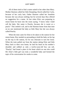All of them tried to find a name suited to her other than Mary. Mother Harmon called her little Dumpling; David called her Curly, because of her curly hair; Father Harmon called her Sunshine because she was always smiling; but for several days Roy offered no suggestion for a name. At last when Elsie was preparing to return home he burst into the room saying, "I know what I shall call the baby. Her name is Peachy, because she is sweet as a peach." This settled it all, and in the Harmon home from that time on no one mentioned the baby as little Mary but she was always called Peachy.

When the time came for Elsie to be taken to the station for her return home, Roy needed no persuading to hold the baby on his lap on the trip to the station, for he was reluctant to turn her loose. When the train pulled out from the station taking Elsie and little Mary back to their own home, he laid his head on his mother's shoulder and sobbed as only a twelve-year-old boy can sob. "Peachy" had found a place in his heart which no one else could fill. Elsie's little girl was truly a wonderful baby and formed the topic of his conversation for weeks to come.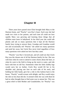# **Chapter III**

Three years have passed since Elsie brought little Mary to the Harmon home, and "Peachy" won Roy's heart. Each year she had made two visits to her parents, and each time all could see how rapidly Mary was growing and learning those things that all children must learn in babyhood. In her third year she could talk plainly and ask so many questions that it kept all the Harmon family busy trying to answer them. Grandpa and Grandma would tire and occasionally tell "Peachy" she asked too many questions and send her away, but Uncle Roy never tired regardless of how many questions were asked nor how fast they came.

"Peachy" was Roy's favored pet, and all could see that Uncle Roy was the chosen one of all the Harmon family for her. She was with him when he went to attend to some chores about the barn, or when he went to the field to bring up the stock to water, and ride back with him on old Fan. Sometimes when her little chubby legs would carry her no farther, Uncle Roy would lift her to his shoulder and, placing one foot on each side of his neck, and holding her little hands, give her a ride in this fashion back to the house. "Peachy" would scream with delight, and Roy would enjoy the ride no less than did she. It seemed while she was with them he had no other thought than to find some way to amuse her. This was a great relief to both Mother and Grandmother, for "Peachy" was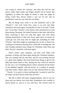ever trying to satisfy her curiosity, and often this led her into places where baby hands and fingers should not be found. But regardless of where she might be found or what she might be doing, Uncle Roy always found a way out for her and no punishment came her way when he was about.

But all things must come to an end sometime, and so did "Peachy's" visit with Uncle Roy come to an end, and Elsie returned to her home again, leaving Roy in tears as he said, "Goodbye" to his little "Peachy" at the station. Elsie promised to be with them during Christmas. He looked forward to that time with all his heart, expecting to have her with him again, and went about making preparations to that end. Every spare piece of money he could get was laid away that he might get something for little "Peachy," that there might be something nice for her to find in her stocking on Christmas morning. Roy could talk of nothing else. He and Grandma planned many things for Christmas when Elsie and little "Peachy" should be with them again.

Elsie's letters came regularly, and they were filled with promises of being with them again during the Christmas holidays. Dan was coming with her this time, and all were looking forward to a great time together. Roy had found many things to get for the baby that meant much to him. Among the toys which he selected for her was a set of building blocks which contained all the letters of the alphabet together with the picture of a number of animals and their names. When asked why he had selected these he said, " 'Peachy' is so quick to learn anything that I wanted to teach her the letters on those blocks while they are here."

But life is filled with many disappointments, and we see our plans and our desires torn from their foundations and crumble to pieces before us, and so it was with Roy. The second week of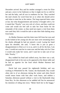December arrived. Roy and his mother arranged a room for Elsie and put a stove in her bedroom so that it might not be so cold for her and the baby, and all was in readiness for her. They watched the mail closely for word from her as to when she should arrive and when to meet her at the station. The long expected letter came at last, but what disappointment and anxiety it brought with it, for it stated that "Peachy" was very sick of a fever, and they could not come and would not feel safe to take her from home for the remainder of the winter, so they need not expect a visit from them now until they felt it would be safe to take their little darling away from home.

As Mother Harmon read this letter tears fell from her eyes and as she looked at her young son she saw tears were streaming down his cheeks although he had not uttered a word. Laying her hand upon his shoulder, she said, "I know this is just as great a disappointment to Elsie as it is to us, and it is all for the best, I am sure. I would not want her to come now and the baby sick for I fear it would only make her worse, and I want her to take care of our little 'Peachy.' "

Roy nodded his head and walked away, but there was a sad, disappointed look in his eyes as he appeared at the dinner table and he had no appetite for the food which Mother Harmon had prepared.

David had now passed his eighteenth birthday and was working in Whitefield for Mr. Tanner, the blacksmith. Roy would often ride in of an afternoon during the winter and often David would return home with him after work hours, and seldom a Saturday afternoon passed without a visit to the blacksmith shop from Roy. So this afternoon as he saddled old Fan he announced his intention of riding into town. "Better hitch her to the buggy,"

16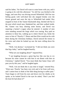said his father, "for David will want to come home with you, and it is going to be cold this afternoon." So old Fan was hitched to the buggy, and soon Roy was driving toward Whitefield. Old Fan was feeling good; with well-shod feet she stepped briskly over the frozen ground and soon the trip to Whitefield had ended. Roy stopped in front of the Tanner blacksmith shop, hitched old Fan to the post which stood near, blanketed her, and then walked inside. Mr. Tanner was busy shoeing some horses, and David was repairing a farmer's wagon when he entered. A number of men were standing around the forge which was roaring. Roy paid no attention to these but, walking up to where David was, broke the news to him of "Peachy's" illness and that Elsie would not be with them during the Christmas holidays. David noticed the tremor in his voice and when he looked up saw the tears rolling down his cheeks.

"Well, I do declare," exclaimed he; "I did not think you were that big a baby," and he laughed heartily.

"What are you laughing about?" inquired Roy.

"I am laughing because a great big boy like you has to cry because his sister cannot be with him to eat dinner with him on Christmas," replied David. "You must think that Santa Claus will pass you by this year," and he laughed again.

"Well, I do not think this is any time to laugh," retorted Roy. "Elsie says 'Peachy' has been very sick and is far from well now, and I cannot bear to think of the little thing having to suffer pain." Tears began to roll from his eyes and down over his cheeks as he spoke; as he looked David in the eyes he asked, "Don't you feel the least bit bad about it?"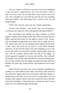"Oh, yes, I guess I will have to say that I do not feel delighted to get such news," replied David, "but I feel that Elsie is able to take care of her, and I do not think there is any need of worry just now. But I thought you were the boy that did not care anything about girl babies"; and David gave Roy a pinch on the ear and laughed again.

"Well, I like 'Peachy' and so do you," hastily replied Roy.

"Surely I like 'Peachy,'" said David, "but I am not going to cry because she cannot be with us during the Christmas holidays."

The conversation then drifted into other channels as David began to inquire about things on the farm. When informed that his father expected him home for the night he spoke to Mr. Tanner, and accordingly arrangements were made that he might do so as Mr. Tanner said work was not rushing and he might leave the shop a little early, and need not be back to work before Monday afternoon. So Roy left the shop to do some shopping at one of the stores, and when he returned he carried a large bundle under his arm. This he carefully placed under the seat of the buggy. As David appeared wrapped in overcoat and muffler, Roy removed the blanket from old Fan and unhitched her from the hitching post; the two then climbed into the buggy and pulled the robe and horse blanket over their laps, turned around, and headed old Fan toward home.

Father Harmon had been true in his statement regarding the weather for it had indeed turned colder. The biting cold wind from the north blew against their faces and almost split their cheeks; it chilled them to the bone. It was too cold for conversation. The two brothers rode along in silence until they reached the top of the hill, when Roy remarked, "I hope Papa has a roaring fire when we get home, for I am chilled through and through."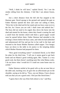"Well, I think he will have," replied David, "for I see the smoke rolling from the chimney. I feel like I am almost frozen, too."

Just a short distance from the hill old Fan stopped at the Harmon gate. David sprang to the ground and opened the gate as Father Harmon opened the door and came out calling to them, "Drive her in the shed and let her stand and you boys come on in to the fire, for I know you are cold. I shall come and unhitch her." The boys did not need to be urged; they drove the horse into the shed and started for the house, where they found a roaring fire and a smell from the kitchen which told them a good supper would soon be spread before them. Father Harmon had attended to the evening's chores before the boys came, and when he had unhitched and unharnessed old Fan and put her in her stall in the barn and returned to the house Mother Harmon called supper. Two hungry boys sat down to the table to do justice to the tempting dishes which Mother Harmon had prepared for them.

"How good everything tastes!" exclaimed David, as he filled his plate for the third time. "I tell you it seems good to get back home and eat Mama's good cooking again. Mrs. Tanner is a very good cook, but there doesn't anything taste like what Mama cooks. I do not know what I would do if I could not come home once in awhile."

Father Harmon smiled at his good wife as she sat near him at the table and, reaching over, he gave her an affectionate pat on the shoulder, saying as he did so, "Now, you see Mama, I have always told you that you are a good cook. I feel just like David does."

"I guess that is the way Elsie feels about it, too," said Roy.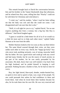This remark brought back to David the conversation between him and his brother in the Tanner blacksmith shop that afternoon, and he related how Roy came, telling him that "Peachy" could not be with them for Christmas and cried about it.

"I cried, too," said his mother, "when I read her letter telling me that the baby was sick and that she could not come. I am disappointed and I am sure that she is also."

"Well, it is all right for you to cry," replied David, "for no one" expects anything else from a woman, but a big boy like Roy is different." And David laughed again.

"I guess it would be a little better for all of us if we would cry a little bit more and try to help each other more," replied Father Harmon as he rose from the table.

Mother Harmon looked at her two sons as they sat there before her. The same blood coursed through their veins, yet they were unlike each other in every way. David, her "happy-go-lucky" boy who never took anything seriously, was of strong, muscular build like his father. He was a good mixer and could go with any crowd and had many friends, but he was the source of much anxiety on the part of his mother, for he was easily persuaded by his associates. His dark, heavy hair was well trained; it lay back from his high forehead, and he prided himself in keeping it well groomed. Nothing became a burden to him, for he had no time for worry.

Roy, her light haired, blue-eyed, slender, tender-hearted boy, so quick to love and so quick to hate, was a type of her people. No one could persuade him unless he had confidence in them and loved them. And when he loved them their burdens became his also, for he took them into his own life. He was very reserved and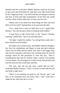therefore had few associates. Mother Harmon could see her boys as they were and loved them for what they were. She loved David for his "happy-go-lucky" way and loved Roy for being so reserved and slow to form and make acquaintance. In her heart she would not have either of them otherwise, for they were her own.

"Mama, had we not better box those things for Elsie and send them to her by mail?" inquired Roy as he rose from the table.

"Yes, I think that is what we shall have to do," replied Mrs. Harmon, "but I do not know when we shall get them mailed."

"I shall have to take David back to Mr. Tanner's Monday morning," replied Roy, "and I can mail them then."

"All right," replied his mother; "we will get them ready after I have cleared away the dishes."

The dishes were cleared away, and Mother Harmon brought a box from the smokehouse and began to wrap and pack presents which were for Elsie and her family. Roy went to the buggy shed, and when he returned to the house was carrying under his arm the package which he had purchased in town that day. "This is something else that I got for 'Peachy' today," said he, as he handed it to his mother. She unwrapped it to find a lovely dressed doll with real hair and eyes that would open and shut.

"Oh, Son, why did you get such a good doll for her?" exclaimed Mother Harmon. "I fear it will last no time and she will just break it right away."

"There is not anything too good for my 'Peachy' girl," said Roy, as he smoothed down the doll's dress, "and I wish that I might see her when they give it to her."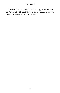The last thing was packed, the box wrapped and addressed, and Roy took it with him to town as David returned to his work, mailing it at the post office in Whitefield.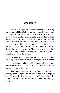# **Chapter IV**

Christmas morning dawned with the sun riding in a clear sky, but with a cold, biting wind blowing from the north. A heavy snow had fallen the day before, and the ground was covered with a carpet of white. The bare branches of the trees creaked under the heavy weight of the snow upon them. A jingle of sleigh bells was heard, and as the Harmons looked from their frost-covered window they saw their neighbors, the Gregory family, go by in the old bobsled. Roy and David rushed to the door, threw it open, and cheered them as they passed by. There was an answering cheer from the Gregory children, the team passed on by, and the jingle of the bells died away in the distance.

"That is just about the way your Uncle Rufus will come over here today," remarked Mr. Harmon as the boys returned to the fire.

"I hope they do," replied Mrs. Harmon, as she laid some more wood in the stove and turned to baste the turkey which she was preparing to place in the oven.

"I do not think it matters much how they come, just so they get here, does it?" inquired her husband. "I hope they come pretty soon, for although I have just had my breakfast the sight of that turkey makes me hungry, and I should not care if they came right away."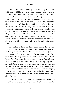"Well, if they were to come right now the turkey is not done, but if you would like to have raw turkey you may help yourself to it," laughingly replied Mrs. Harmon, "but I think it does make a difference how they come, for that wind is biting this morning and if they come in the bobsled they can wrap up and keep so much warmer than if they came in the carriage. You see they can put the children in the bobsled on the hay with warm bricks to their feet and cover them up well, and they will not get cold at all. But I would not want to travel very far such a day as this. I am glad I can stay at home and cook dinner today instead of going somewhere else, and I do not envy Mrs. Gregory that twelve mile ride such a day as this. But I guess if I had a mother I would want to be with her on Christmas Day to eat Christmas dinner with her although I should have to ride through the chilly wind for twelve miles to get there."

The jingling of bells was heard again and as the Harmons looked from their window, sure enough there was Uncle Rufus and his family in the old bobsled. The boys ran to open the gate, and Mr. Harmon laid some more wood on the fire, so there would be a warm fire when they came into the house. In they came—Uncle Rufus, Aunt Susan, and the four younger children, Carrie, Bessie, May, and three-year-old Danny. Henry, the eldest boy, stayed with Roy and David to help put up the team. They, too, soon entered and there was the usual exchange of greetings and presents, and Aunt Susan donned her kitchen apron and busied herself in helping to prepare the dinner. Father Harmon and his brother, Rufus, were left to visit with each other, and the children had their usual romp about the house.

Dinner was called, and the two Harmon families sat down to the table which was spread with all the dainties that were needed to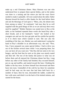make up a real Christmas dinner. Mary Harmon was one who understood how to prepare these special dishes, and so the turkey was done to a turning and the mince pie had the exact flavor needed to make it palatable. All were seated about the table; Father Harmon bowed his head to offer thanks for the food before them and ask the blessings of God upon it. "Bless, also, the absent ones from among us today," he continued, "and may they be as well supplied with the good things of life as we are and may their every need be supplied." Mother Harmon was seated next to Roy at the table; as her husband repeated these words she heard Roy take a short breath, and at her husband's "amen" she looked at her youngest son and saw his face get pale and his eyelids bat quickly as if to check tears which wanted to start. She saw also the trembling of the lips; yes, Mother saw and understood. Laying her hand on Roy's shoulder in an affectionate way, she said, "Now, Son, I have prepared you some special dishes. I had to drive you out of the kitchen several times while I was preparing them, but you can have all you want now." But Roy did not seem to be very hungry, and the food that he took on his plate was merely tasted and then left. The rest of the family did justice to what was set before them and all enjoyed the Christmas dinner but Roy. Long before any other of the family had finished, Roy excused himself, put on cap and muffler, and started toward the barn. Climbing the ladder to the hay mow, he threw himself face downward and there burst into tears. Unmindful of the cold he lay there for sometime until he had wept out the tears that had been held back for a number of days; then he rose, descended the ladder, washed his face with snow and dried it on the back of his knitted mittens, and started for the house.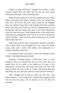"What is wrong with Roy?" inquired Aunt Susan, as Roy excused himself from the table and she saw the food which remained on his plate; "is he not feeling well?"

Mother Harmon glanced at first her husband and then David before answering Aunt Susan's question. How her mother heart went out to her boy as she knew what a battle he was fighting! How she wanted to spare him as she thought of his kind, sensitive nature and knew how keenly he felt the disappointment of not having Elsie and her family with them at this time! Should she really tell what she knew? While debating thus in her mind David spoke and rather disgustedly said, "No; he is not sick at all but just a great big baby. I dare say he has gone somewhere now to bawl like the baby that he is."

Aunt Susan stared at him in amazement and then exclaimed, "Roy a baby? Why I never thought him to be a baby, for he has always been such a manly little fellow from babyhood on. I consider him quite a man now."

"It would be well if you had just a little more feeling for your brother," said Father Harmon to David.

"Feeling," exclaimed David; "I think that I have as much feeling for him as I should have and you have more than you should have for he needs to be jerked out of some of his babyishness." David then told Aunt Susan how Roy had acted when he broke the news to him in Tanner's blacksmith shop that little Mary was sick and Elsie could not come home for Christmas.

"But I thought that he had just about got over that," said Father Harmon. "I have heard him whistling and singing around here the last few days, and he seemed to be real jolly this morning."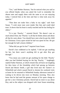"Yes," said Mother Harmon, "but he noticed what you said as you offered thanks when you asked the Lord to remember the absent ones and supply them with the same as we are enjoying today. I noticed him at the time and that is what took away his appetite."

"That does not make him a baby in my sight," said Aunt Susan. "I wish more men were tender like him and could shed tears. It shows that his heart is easily touched and he has feeling for others."

"It is just 'Peachy,' " retorted David. "He doesn't care so much about Elsie, but 'Peachy' is all that he thinks about and about all that he cares about. You should have seen what he got the child for Christmas. Every spare nickel he had was spent for her. He got her enough for half a dozen children."

"What did you get for her?" inquired Aunt Susan.

David's face reddened as he replied, "I did not get anything for her, but there wasn't anything left to get after Roy got through."

"You mean you could not get anything for the little 'Peachy' after you had finished buying for the big 'Peachy,' " laughingly replied Father Harmon, at which remark they all burst out laughing for they knew of the friendship which had sprung up between David and Bessie Smith, a girl that lived near the Tanner's in Whitefield and which caused David to shorten his weekend visits at home for he returned to Whitefield Sunday afternoon instead of waiting to be driven into town on Monday morning. They also knew that he had used the greater amount of his spare change to get her a nice Christmas present. David had no more to say about Roy, and so the subject was dropped with Aunt Susan remarking,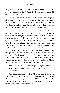"Roy may cry over his disappointment, but I am glad to hear that he is so attached to Elsie's baby, for I think that an admirable quality in any young man."

They all arose from the table and the women folk began to clear away the dishes. Carrie and Bessie dried them as Mother Harmon and Aunt Susan washed them. When about half finished they heard a loud call from the rear of the yard; they looked out and saw Roy rolling a huge ball of snow across the yard.

"A snow man," exclaimed Henry as he hastily donned mittens and cap; "come on, David, let us help him." And out the door he went on the run. The girls were soon wrapped in coats, hoods, and scarfs, and even little three-year-old Danny went out to see the sport of building a snow man. The snow was dry, and it was rather difficult to get it to cling together, but how those boys worked and the girls and Danny clapped their hands in glee as they saw a body built on to the base and then came arms and head! David brought some charcoal from the house to make eyes, nose, and mouth, and then placed an old cap on his head and a stick in his hand for a cane, and to finish him put a bright red tie about his neck. Below this he put some small pieces of charcoal which looked like buttons on his vest. When completed, they called to Mother Harmon and Aunt Susan to see what they had done.

As the women stepped to the back porch Roy walked to where they were standing and called out merrily, "What do you think of it, Aunt Susan?"

Aunt Susan laughingly replied, "It looks almost like a real man, doesn't it? I will say that if I should see something like that after dark it would surely frighten me until I couldn't tell you what I would do. You boys have certainly done well, for that is about the best snow man I have even seen."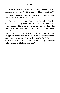Roy seemed very much pleased, and stepping to his mother's side, said in a low tone, "I wish 'Peachy' could see it; don't you?"

Mother Harmon laid her arm about her son's shoulder, pulled him to her and said, "Yes, Son, I do."

There was something about her voice as she spoke to him that caused him to look up into her face and he saw something in her eyes which drew him to her as never before, for he now knew that although he might be laughed at and ridiculed by others, Mother understood. Yes, Mother did understand her boy, and she knew what a battle was being fought that he might hide his disappointment and try to enjoy the Christmas festivities with the others. Yes, she understood and in the pat of her hand, the glance of her eye, and the tone of her voice, she tried to carry the message to her young son, "Mother understands."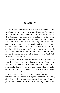# **Chapter V**

Roy waited anxiously to hear from Elsie after sending the box containing the many nice things for their Christmas. He wanted to hear how Elsie enjoyed the things that he had sent her. A few days after Christmas a letter came telling them how much the package was appreciated, but Elsie closed her letter by saying, "I thought surely little Mary would love the doll Roy sent her more than anything else, but she lays it aside to play with her blocks. I never saw a child enjoy anything so much as she does those blocks, and she plays with them by the hour. It is surprising to see how she is learning the letters, too. She knows quite a few of them, and I think in a short time she will know all of them. She says, 'Tell Untle Woy thanks for the pitty blocks.' "

She could have said nothing that would have pleased Roy more than to hear she appreciated those blocks so well, and as he went about his chores or tried to study while in school there would a picture of a little girl he called "Peachy" come before him sitting on the floor playing with blocks. How his heart ached to be near her and aid her in the building of houses, or bridges, but most of all to help her learn the names of the letters on the blocks and then to put them together! Each week brought a letter from Elsie telling about Mary and those interesting blocks. January and February passed, and in March came another letter saying, "Mother, you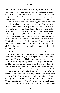would be surprised to hear how Mary can spell. She has learned all those letters on the blocks Roy sent her for Christmas and can now spell all the little words on them and can put them together. I have taught her how to spell Roy, and she will spell it again and again with her blocks. I am teaching her how to make the letters also. You do not know what a time I am having, for I have to keep her in the house all the time and she must have something to entertain her and I am certainly kept busy for there is no end to her desire to learn, and what is so remarkable about it she remembers what I tell her so well. I do not think it will be long until she will be reading. If I could get away to get her a book I should do so, but yet, I think she is doing well as she is. I give her pencil and paper, and she lies on her stomach on the floor for an hour at a time making letters. This is a life-saver to me, for she teases me all day long to tell her how to spell first one word and then another. To have any peace at all I give her pencil and paper and in this way I am left to do something else."

All these things were talked over by mother and son. David seemed to take no interest in it as he had other things to occupy his mind, and he chided Roy rather sharply for having no thought other than "Peachy," but Mother understood and many pleasant times were spent together by mother and son planning the future for Mary, the little girl who meant so much to both of them. Roy planned what should take place in the summer when she should again visit them. But he was not waiting until summer to do something for her on which his heart had been set, for when he returned from town the following Saturday afternoon after receiving Elsie's letter he opened a package containing a Primer, some paper and pencils, some chalk, and a small blackboard. These were to be sent to "Peachy." Mr. and Mrs. Harmon left their boy to do as he liked about sending things to Mary, and so the

31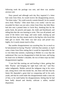following week the package was sent, and there was another anxious wait.

Days passed and although each day Roy inquired if a letter had come from Elsie, he would receive the disappointing answer, "No letter today." He could scarcely contain himself, for he wanted news from "Peachy." After more than a two weeks' wait he was rewarded for there was not only a letter from Elsie, but little Mary had also sent a printed letter to Uncle Roy, thanking him for the pretty book, the pencils and paper, the chalk and blackboard, and telling him that she was learning to write. This was all printed, and some of the letters were large, and some small, running up and down the lines, but they meant much to the big boy who loved this little girl so much. This letter was laid away and prized very highly, for it surely meant much to Roy.

But another disappointment was awaiting him, for as much as he had planned on having "Peachy" with him that summer, in April came a letter from Elsie stating that it would be impossible for her to visit them that summer, explaining to Mother in a way that she understood. Roy was too disappointed to hide the tears, and laying his head over on Mother's shoulder, the two of them wept out their disappointment together.

"I just feel like starting out and hoofing it there, getting that little 'Peachy' and bringing her right back with me," said Roy rather indignantly. Mother noticed the indignant ring in his voice and, sitting down with him beside her, she there told him that his future life depended a great deal on conquering self in his early youth, and that he could make this disappointment make a man out of him, or he could harbor his disappointment, feeling that he had been badly abused and thereby cultivate a sullen, morbid disposition.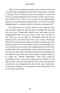"Those who accomplish anything in this world are those who rise above their disappointments and seek to help others," said she as she gave him an affectionate pat on the shoulder. "I know that my boy is greatly disappointed, but no more so than I am; but now what shall we do? I mean to try to help you by making things pleasant for you and bring something else in your life to cover this disappointment in a measure, and now what are you going to do?"

Roy looked down at the floor where he was sitting for some time and then, lifting his head, he gave his Mother that knowing look as he said, "I understand, Mother, and I shall forget my own disappointment and try to cover yours in some way," and this he did. There was not any little act of kindness which he did not perform for her. He had always been a very tender, affectionate child, but he became more tender and Mother, noticing each little attention, tried in every way that she could to do something for her boy to help him to overcome in this disappointment in his life. Roy would whistle as he went about his work at the house or barn or in the field, and often when his Mother denied herself something that she might do for her boy, Roy would whistle or sing the louder as he would say, "Mother understands." Then there would be something for him to do that he might repay his Mother for the little sacrifice which she had made for him. In this way Roy soon overcame his own disappointment and in after years looked back on this little experience as an experience which helped him to be an overcomer in later life.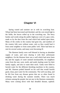# **Chapter VI**

Spring waned and summer set in with its scorching heat. Wheat had been harvested and threshed, and the corn stood high in the fields, the leaves rolled up in the scorching sun. The berry bushes and weeds along the public highways were of a gray color, made so by the dust from the road which had settled upon them. Many of the creeks in the country had gone dry, and numbers of the country folk were without water, only as they would haul it from some neighbor or from some public well. There had been no rain for several weeks, and many were becoming ill.

The Harmon family were well blessed in having an abundant supply of water, and were sharing it with their unfortunate neighbors. On the Harmon farm was a well which had never been dry and the supply of water seemed inexhaustible, for neighbors came from the east, west, north, and south, hauling water for their family supply, and also to water their stock. Tanks were filled to furnish water for the different threshing machines in the country, and Mr. Harmon prided himself on his well that would furnish good, clean, pure water for the community. The well was deep, and he felt free from any disease germs that are so often found in drinking water during the summer months. There was much sickness among the people, but not any in the Harmon community. Many were coming down with that dreadful disease, typhoid.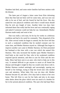Numbers had died, and some entire families had been smitten with the disease.

The latter part of August a letter came from Elsie informing them that Dan had not been well for some time, and was now not able to be out of bed, and she feared he had the fever. She also stated her own physical condition and what it would mean should Dan be sick any length of time. Another letter two days later informed them Dan really had the fever and was continually raging and asked if someone could not help her out. Immediately Mother Harmon made ready and went to her.

Dan was really a sick man, for he lay for weeks in a delirious condition and had to be cared for constantly. They despaired of his life. After several weeks he began to amend, but the fever left him in such a weakened condition that he needed constant care for some time, and Mother Harmon stayed on. Although Dan began to improve another care came to Mother Harmon, for Elsie presented her husband at this time with a new son which she named Otis Harmon. This only increased the burden upon Mother Harmon's tired body as she cared for Dan, who in his weakened condition required special attention, and then to care for Elsie and the new baby. Mary had been sent to an aunt, who tried to help out in this way. It seemed difficult to get anyone to assist as all feared the disease and thought it might be they too would come down with it. Mother Harmon worked untiringly and unceasingly, sparing not herself or her feelings, trying to help her loved ones who needed care and attention. When baby Otis was ten days old, Mother Harmon became ill, and after a few days had to return to her own home. This left Elsie to care for her baby and also to do many other duties about the place which were too much of a burden for her in her present physical condition. The aunt who had kept Mary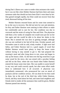during Dan's illness now came to render what assistance she could, but it was not like when Mother Harmon had been there and many strenuous tasks that should not have been Elsie's were done by her. Dan gained strength rapidly, but Elsie could not recover from that tired, distressed feeling all the time.

Mother Harmon returned home and for some time seemed to be on the way to recovery. She did not lack for care and attention, for Roy and Father Harmon were untiring in their efforts to make her comfortable and to care for her. Her condition was due to overwork and the strain of caring for Dan and Elsie. The physician told them a few weeks of complete rest would soon put her on her feet again and she would be able to be about her duties in the home. But it seemed she was slow in gaining strength, although she was not confined to her bed all the time. October passed, and November came in with its cold, windy weather. A light snow had fallen, and Father Harmon laid in a good supply of wood that Mother Harmon would have plenty to keep the house warm without having to step outside to get it. She had prepared the morning's meal and after lying down to rest, arose and began to tidy up the house a little. As she bent over the big wood box to get some wood for the stove, she was seized with a peculiar feeling and fell on the floor, where she was found when Father Harmon entered the house some time later. She was unable to assist herself in any way and could scarcely speak, but after some effort made them to understand how it all occurred. A physician was immediately summoned, who pronounced her case an attack of paralysis and her condition serious. All was done for her that could be done, but at the end of the third day while Father Harmon, David, and Roy stood about her bed, and some kind neighbors and friends tried to render all the assistance that could be given, Mother Harmon passed into eternity.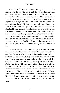What a blow this was to the family, and especially to Roy, for she had been the one who understood, the one in whom he could confide and feel that there was something akin in her own heart to that which he felt! Where would he go now and to whom could he turn? He went about as one in a trance without a word to say to anyone even though he was asked about what his desire was concerning the burial. All that he could reply was, "Do as you think best, for I cannot tell you." No tears came to him to relieve him, but his pale face and quivering body told of a grief that had struck deeply, eating into the heart's core. When her body was laid in the casket and the family gathered about, Roy stood speechless, staring at the remains of her who had been all to him that a mother could be and his sole confidant and the one who understood. No tears came to his relief, but his body trembled as one with a chill, and his face paled so that all could see his grief was too deep for tears.

But much as friends extended sympathy to Roy, all hearts went out to the only daughter so many miles away and unable to attend the funeral. Her health since the birth of baby Otis had been such that she could not get away from home, and the care of the two children so occupied her time and exacted all the strength that she had so that she was not able to get away. So Father Harmon, David, and Roy, with the many other relatives and friends, followed Mother Harmon to her last resting place, and after lowering the casket into the grave the three returned to the home that had been robbed of all that made it really home, for "What is home without a mother?" David returned to his work, but as Father Harmon and Roy returned to their daily routine of work on the farm they realized their sad loss more than any of the bereaved ones.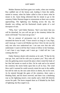Mother Harmon had been gone two weeks, when one evening Roy saddled one of the horses and, leading it from the stable, started to mount, when his father called to him to know what he meant to do. Upon being informed that he meant to go to the cemetery Father Harmon began to remonstrate as there was a storm approaching. The lightning was flashing across the sky, the thunder was rolling, and the blackened clouds spoke of a real downpour of rain.

"Why, Son," said Father Harmon, "don't you know that you will be drenched, for you will not get to the cemetery before the storm will break? You must not go now."

But no amount of persuasion was of avail, and as Roy mounted the horse he said, "I have stood it as long as I can, Papa, and I must go. I want to tell Mother just how I feel, for she was the only one who ever understood me. I am sure now that she will understand. I want to tell her that I mean to follow in her footsteps. I can't bear it any longer, and I must go. I shall tell her I am coming after her."

Father Harmon shook with emotion as he said, "If that be the case go, Son, and God be with you to protect you." Roy rode off into the gathering storm toward the place where rested the body of her that had meant so much to him. On he rode and as he neared the cemetery the storm broke upon him in all its fury. The wind blew until it seemed he could scarcely retain his seat in the saddle, but still he rode on; the rain came down in sheets, but on he went. As he entered through the gates of the cemetery, there came a blinding flash, and his horse swerved, and there was a deafening roar as the lightning struck a tree nearby and a limb fell directly across his path. The horse stopped short as if blinded by the flash of lightning, but Roy urged it on.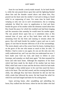Soon he was beside a newly-made mound. As he knelt beside it, while the rain poured down upon him and the lightning flashed about him and the thunder roared above and about him, Roy poured out his heart unto his mother's God and in doing so found relief in an outpouring of tears. For some time he knelt there weeping as only one can in such circumstances, but as weeping subsided, he lifted his voice in supplication to God and there beside the grave of his mother while the elements roared about him Roy found the peace for which his troubled soul had been longing and the assurance that someday he would meet his mother again. The rain poured down upon him as it sometimes does at this unusual time of year, and as Roy knelt there with the water streaming from his hat brim and running in streams about the grave, Roy still knelt beside his mother's grave and was in such agony of soul that he became oblivious of all of his surroundings. The storm abated, and as Roy arose from his knees, looking down on the grave of the one who meant so much to him, he said, "O Mother, I had to come to you again, for you are the only one who really understood me, and I am sure that you understand me now. I have made your God my God, and mean to follow in your footsteps, and someday we shall meet again." He then mounted his horse and rode back home. Although the emptiness of his heart which had been made by the death of his mother had not been filled, relief had come in tears and the decision which he had made had brought a deep settled peace in his soul that eased the heavy ache in his heart. The rain had ceased, and the evening had become chilly, but although Roy had been drenched he did not feel the chilly winds that followed the storm. He had found the relief for which his soul had longed and balm for his aching heart.

Upon arriving home, after unsaddling and unbridling his horse, Roy walked into the house, where he met his father who had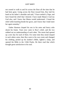not ceased to walk to and fro across the floor all the time that he had been gone. Going across the floor toward him, Roy laid his hand on his father's shoulder and said, "I have settled it, Papa, and have found the relief that I desired. I have made Mama's God my God also, and I knew that Mama would understand. I found the relief while kneeling beside her grave, and I know that I shall meet her again someday."

Father Harmon clasped his son in his arms and heavy sobs shook his frame. Tears now came to Roy's relief, and the two sobbed out an understanding of each other. The storm had opened up a new day for each of them. For some time they stood clasped in each others arms; then Roy went to his own room and changed his clothing, picked up his mother's Bible, lighted a lamp, and opened the Bible to the 116th Psalm. He there read that which brought great satisfaction to his soul.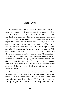# **Chapter VII**

After the subsiding of the storm the thermometer began to drop, and when morning dawned the ground was frozen and winter had set in in earnest. Thanksgiving found the streams all frozen and shortly after a snowfall which never entirely melted away until the spring thaw. Many times in the winter the roads were impassable because of the drifted snow. For days in the rural districts there would be no communing with the public. Fences were hidden, trees were laden with their heavy weight of snow, and briar thickets took on the appearance of huge mounds. This continued for many weeks, and in the rural districts schools were closed until the roads could be opened to traffic. After each heavy snow there would be severe cold, and where one could get through sleighing and sledding were good, and the sleigh bells were heard along the public highway. The highway leading past the Harmon home was a succession of hills and hollows, but after the heavy snowstorm it looked like one level stretch of road, and so for weeks was impassable.

All this time Roy and his father lived secluded lives, unable to get away except the snow hardened and they could walk over the fences and over the drifts. What a lonely life it was without her who had meant so much to the household! Roy's grief increased as the days lengthened into weeks, and the deep snow kept them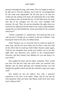penned in through the long, cold winter. How he longed at times to be able just to visit the cemetery, but in this he was disappointed for the roads were impassable! He felt that just to be near her would ease the aching in his heart. He mentioned this to his father one evening as they sat beside the fire. As the father drew his chair near that of his youngest son, his own voice trembled with emotion. He said, "Roy, do you not remember the night when you received your diploma from the hand of our county superintendent, stating that you had finished the course prescribed by the common school law?"

"Surely I remember it," replied Roy, "but what has that to do with me now? It brings me no comfort in the loss of Mama," and, burying his head in his arms, he sobbed aloud.

Father Harmon was so overcome that he could not speak for some time, and the two were silent save for Roy's sobs, but with all the effort that he could put forth Father Harmon spoke again, "And do you remember how proud your mother was of you that night after you delivered your oration at the commencement exercises, and then framed your diploma for you and hung it in your room?"

Roy nodded his head, and his father continued, "How would you have felt had she wept and cried when you received your diploma and sat about grieving and weeping because you had finished the graded school and had she refused to sign your report card?"

Roy looked up into his father's face with a quizzical expression in his eyes, as he asked, "Papa, why do you ask me such questions when you know that Mama could never have done such a thing as that?"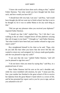"I know she would not have done such a thing as that," replied Father Harmon, "but what would you have thought had she done such, and how would you have felt?"

"I should have felt very bad, I am sure," said Roy, "and would have thought she did not want me to finish school, but that is not to be thought of, for it was so unlike Mama to do any such thing as that"

"Did you get any pleasure when you received your diploma?" inquired Father Harmon.

"I should say that I did," replied Roy, "for I felt that I was walking in the air when I stepped down off that platform carrying that roll of paper in my hand." "I thought so," said Father Harmon, "but what would it have been had your mother refused to sign your report cards?"

Roy straightened himself in his chair as he said, "Papa, why do you talk like that when you know that she never felt like she wanted to return my card unsigned, for I always made good grades; and she was pleased to sign my cards?"

"I am sure that she was," replied Father Harmon, "and will you be pleased to sign hers now?"

"I do not know what you mean by saying that," said Roy, in a perplexed tone of voice.

Here Father Harmon laid his arm on his son's shoulder and, while his voice trembled with emotion, he said, "I mean just this, Son: your mother has finished in the great school of life to receive her diploma from the great Master's hand which is a crown of life, and he has presented her report card to you for you to sign, and are you ashamed to do so?"

43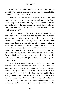Roy laid his head on his father's shoulder and sobbed aloud as he said, "Oh, no, no, a thousand times no. I am not ashamed of the report of her life, for it was perfect."

"Will you then sign the card?" inquired his father. "All that you have to do is to say, 'Amen, Lord, thy will, not mine be done.' In this way you can enter into the joys and pleasures which are sure to be hers in the great commencement of Eternal Life, and although it does not fill the vacancy left, it does ease the heartache. Will you do it, Son?"

"I will do my best," replied Roy, as he gazed into his father's face. And he did, for from that time on there was a sweetness attached to the death of his mother which he had never gotten before, and although it did not dry the tears which would often start when thinking of her who meant so much to him, he surrendered and submitted it all to him who understands all things, and in this he found great comfort. The conversation between Father and Son on that evening around the fire also brought them closer together, and some of the companionship which had been between Mother and Son was now transmitted to Father; so that many pleasant evenings were spent together during the long, cold, wintry nights.

There had been no mail delivery at the Harmon home for the past two weeks, and then came three letters from Elsie. These were opened according to the date of mailing and in each she informed them of her physical condition. It seemed that she had begun work too soon after the birth of baby Otis, and she could gain no strength. In the second letter opened she told them she meant to go to a specialist the next day and would write more when she knew more. So the next letter was to contain the desired news of her condition, and Roy opened it quickly and began reading. It stated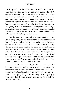that the specialist had found her tubercular and he also found that baby Otis was blind. He was not qualified to examine the baby's eyes perfectly as that was not his specialty, but they meant to take him to an eye specialist and see if it really were true. This was done; and another letter later told of the hopelessness of the baby's ever seeing anything, for he was born without vision and would have to remain that way so long as he lived. Elsie also stated she was getting weaker all the time and having those dreadful night sweats. Each letter contained news of Mary's progress in learning to spell and to read and write. Occasionally there would be a short note written to Uncle Roy, in her own hand.

Thus the winter wore away and spring came with its warm sun and its heavy rains, and the entire community was mud and water bound, for in many places bridges were washed out by the heavy, swollen streams. But in the Harmon home there were many pleasant evenings spent together, for father and son had come to understand each other and were drawn to each other as never before. Roy desired the company of his father above anyone else, and Father Harmon likewise. A real companionship existed, and Roy felt that "Papa understands," while Father Harmon often remarked to others, "Roy is certainly a level-headed boy, and I can reason with him just like I can with an old man."

David came home occasionally, but he found nothing on the farm now to keep him, and he spent most of his time in town. His father often tried to advise him about some matters, but he would resent it and inform his father, "I am making my own way and think that I can get by all right." He did get by, but in his getting by there was a breach made between him and his father and also between him and Roy.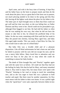April came, and with it the busy time of farming. It kept Roy and his father busy on the farm to prepare meals and then do the work about the place, but as a great deal of the farm was in pasture, not much plowing needed to be done in the spring and this Roy did, leaving all the lighter work about the place for his father to do. The latter part of April brought news to them that Elsie could not get well and her time was short, as she was failing fast; so Father Harmon and Roy went to her. David could not be persuaded to go, although Elsie begged to see him. He had told his father so often that he was making his own way, that when he did not have the means to take him to her, he refused the proffered help of his father. So the two went, remaining with Elsie until the first week in May she passed into eternity, leaving Mary aged four, and baby Otis aged eight months. This was surely a hard blow for Dan, for who would want to take care of a blind baby?

But baby Otis was a lovable child and of a pleasant disposition. Like all blind unfortunates he had a keen ear and what he failed to possess with his eyes did not escape his ears; and he was a merry little fellow. Mary loved him to adoration and was never too busy in her play not to stop when she could do something to amuse her baby brother.

The death of Elsie brought Roy and "Peachy" together again and with the same love as before. All could see that Roy had not the feeling for baby Otis that he had for Mary, and many remarked about it. Roy tried to enjoy Otis, but many hours were spent with "Peachy" listening to her read or trying to teach her something new, and as she was eager to learn this was a pleasure to both teacher and pupil. But there must be another separation, for Roy must return with his father to their own home. It was a pitiful sight when the "good-byes" were said, especially between father-in-law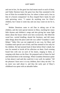and son-in-law, for the great loss had meant much to each of them, and Father Harmon knew the great loss that Dan sustained in the loss of Elsie far exceeded his loss, for where is there such a loss as that of a bosom companion? As Roy clasped Dan's hand, he said with quivering voice, "I cannot do anything now for Elsie's children, but I mean to some day and you may count on me for it, too."

Mother Dennison came to aid Dan in taking care of the children, and she took special interest in Mary, teaching her many little rhymes and children's songs and also giving her some light duties about the house which were hers exclusively. She filled the wood box, carried kindling, dusted the furniture, and did many other things about the place until she was called "Grandma's Little Helper." Baby Otis was not neglected in any way, for Mary and Grandma took special care of him; and Dan seemed to live only for his children. He had seemed fond of them before Elsie's death, but now he seemed to lavish all his affection on them. Each evening found him with one on each of his knees, singing to them, or romping with them on the floor. He prepared each of them for bed and dressed them in the mornings. When Grandma Dennison spoke to him about it and said she could do it very well, he replied, "All the pleasure I have now is in my children; don't deny me this." So no more was said about it, and thus the early part of Mary's childhood was spent with an adorable father.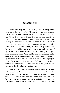# **Chapter VIII**

Mary is now six years of age and baby Otis two. Mary started to school at the opening of the fall term and made rapid progress. She was very studious and far ahead of the other children of her age. At the close of her first term of school she was promoted to the third grade and considered one of the best spellers in the country. It was not an uncommon occurrence for her to carry off the honor of being the last one on the floor during what they called their "Friday afternoon spelling matches." Mary seldom was beaten in these spelling contests although she was only six years of age. She had an idea of the sound of letters and delighted to spell. Many evenings at home Dan drilled her in spelling until before the close of her first school term she could handle words of five or six syllables with perfect ease. In her other studies she did not progress so rapidly, as some of them were very difficult for her; so that at the age of nine she had only completed the fourth grade, but was considered the champion speller of the country.

Dan was indeed proud of his little daughter and was a devoted father to both his children. For some months after Elsie's death his grief seemed too deep for any consolation, but however deep the wound it will heal in time; and that was the way with Dan. Elsie had been gone fourteen months when Myra Rainey came to spend the summer with her aunt who lived near the Dennisons. She came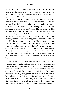as a helper to her aunt, who was not well and who needed someone to assist her that summer, as she had several hired men to care for, and Myra was surely a splendid helper. She was twenty years of age and a beautiful girl, very pleasant and congenial; and soon made friends in the community. As the two families lived near each other she was often found in the Dennison home and became very much attached to Mary and Otis, and they to her. She would often come to get the children that they might be with her when she would be alone in her aunt's home. She was always so kind and lovable to them that they soon returned that love and when asked who they liked best of all would often say, "Myra Rainey." Her being in the Dennison home so often and she so fond of the children, soon won Dan's friendship, and it was not long until this friendship became mutual between them. The following spring the two were married. Grandmother Dennison was pleased with the match, expressing herself as "just delighted" and truly she was, for she saw Myra as a kind, good girl, one who loved Dan's children almost to adoration. Dan took her to his own home to be the mother of his children, feeling he had found a woman whom he could trust and one who loved the children almost equal to his love.

She seemed to be very fond of the children, and many evenings were spent in the home with the four of them gathered together, each holding a child on his lap. But this was not for long, for she soon saw how Dan adored his children and became jealous of them, and instead of coming together with them in the evening she would often say, "Dan, put the children down, or put them to bed, and then come and sit with me for a while." At first Dan paid no attention to her, until one evening as he invited her to take her place with them she retorted rather sharply, "No, I thank you; when you get through with your children if you have any time left

49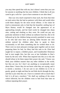you may then spend that with me, but it doesn't seem that you care for anyone or anything else but your children. I think that is all you cared to get a wife for—just to have someone to see after them."

Dan was very much surprised to hear such, but from that time on took notice that she had no patience with them and would often scold them sharply for the most trivial offense. A few times he tried to remonstrate only to find that the beautiful, smiling face of Myra Rainey would be changed into the appearance of an approaching tornado, and her kind words be changed into sharp ones, cutting and slashing as they went. He could not pay any particular attention to them without an outburst from her, this to be followed up by the children being severely punished in some way; so he who had once been an adoring father became one who seldom noticed his children other than to speak to them occasionally or tell them something that he wished them to do. There were no more pleasant evenings spent together and no more preparing them for bed, for Mary had this task to do. Elsie had taught her to repeat a childish prayer, and Grandmother Dennison had in turn taught Otis, but this was at last forbidden in Dan's home by the new wife. When Dan inquired into this as to why she should refuse to let them repeat their prayer she said, "I know you think your children smarter than any other children in the world, but they are not, for I don't see anything so exceptionally smart about them. I know they do not know what they are saying, and it is merely a mockery. I do not care to see children try to be so goody, goody at night and then be real little devils through the day, and that is just what they are. I have to contend with so much that I feel it is all just a mockery." We shall say nothing of the scene which followed, but the children went to bed from that time on without repeating their prayer.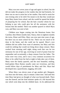Mary was now seven years of age and again in school, but she did not make the progress in her studies that she had formerly, for there was no one to assist her in her studies. Dan tried to assist her one evening only to be told if he meant to do that they would just keep Mary home from school, and she would be spared the bother of preparing her for school, that she had a teacher whom he was helping to pay who could give her all the assistance with her lessons that she needed. There was another quarrel in which Myra won, and Mary was sent to bed.

Children now began coming into the Dennison home; first Caroline; then fifteen months later, Nancy; then in eighteen months the twins, Elmer and Ellen. Mary was now past nine years of age, but there was no more school for her. There was too much to be done in the home, and she could not be spared. Myra's own children did not suffer from want of attention, but Mary and Otis could do nothing that would not bring down sharp censure. Mary worked from morning until night, doing work that was far too strenuous for one of her age, receiving no word of praise from her stepmother and occasionally a sharp censure from her father. The twins were very cross, and it was a very common occurrence for Mary to be called from her bed at night to help take care of them. Many were the family quarrels, and the once beautiful, smiling, kind-spoken Myra Rainey usually came out victorious, and then would follow days of punishment for Mary and Otis. Myra had developed into a quarrelsome, nagging, old scold.

When Mary was eleven years of age another girl, Margaret, was born into the home, only to remain a short time. And until this time Mary had given no thought of what was beyond death. There was the funeral; and the kind minister spoke of a life beyond this one which went deep into the childish heart. As he addressed the

51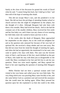family at the close of the discourse he quoted the words of David when he said, "I cannot bring him back, but I shall go to him," and then told of the hope of meeting after death.

This did not escape Mary's ears, and she pondered it in her heart. She did not have the privilege of attending Sunday school or church services that she might be enlightened on the subject, but she thought of it often. Although Margaret had only been with them a few months, Mary had loved her dearly. And as she had the constant care of the smaller children, Mary received her first smile and her first baby coo, and if there was any chance of ever meeting her little baby sister she wanted to know just how to do it.

A few weeks after the death of Margaret, Mary approached her stepmother on this subject, but as she could not enlighten her and as the question only annoyed her because of her own lack of spiritual life, she received a sharp rebuke and was sent away. But that did not erase from her mind the thought of meeting her again, and when she had an opportunity she mentioned it to her aunt, who came to spend a few days with them. This aunt was the favorite sister of Dan's, and because of this fact, much disliked on the part of Myra, who made her stay with them just as disagreeable as she could. But Mary worshiped at her feet and felt free to ask her any question. These two were much together, and Mary opened her heart to her aunt regarding the question of meeting little Margaret again.

Millie Fletcher had not been a spiritual woman until God visited in her own home and called away her own little babe. The very thing which now was puzzling Mary came forcibly to her, and she came before God as a penitent soul and received the assurance that she would meet her darling again. When Mary pressed her question upon her she explained it as best she could to the child,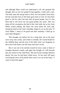and although Mary could not understand it all, she grasped this thought, that we are two people living together, a body and a soul. The body must die and go back to dust, for God made it from dust, but the soul that lives in the body goes back to God. If it has been good it will be with God and with all good people, but if it has been bad it will never see any good people any more. This was about all the conception she had of this vital truth, but as her Aunt Millie ceased talking, she threw her arms about her neck and, laying her head on her aunt's shoulder, began to cry as she said, "O Aunt Millie, I mean to be good and then someday I shall go to meet little Margaret."

This thought was before her for a long time, but as the days wore away into weeks, and weeks to months, the wound healed in the childish heart and the loss of the little sister was forgotten as the work of the home was laid more and more on her.

But it was not to be entirely erased for news came to them of Grandpa Harmon's death, and again the thought of a life beyond this one stirred in the child heart. She had loved Grandpa Harmon dearly, but now he had been called away. As her tears fell upon receiving the news of his death, there went a cry out of her heart, "I want to meet him again."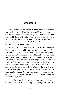# **Chapter IX**

Roy Harmon left his brother David's home in Whitefield, purchased a ticket, and boarded the train. He was going again to see "Peachy," the only one who really claimed his love since the death of his father and mother. Roy had tried to be a brother to David, but their dispositions were so different that they could not agree. As David was now the head of a family, he seemed not to care anything at all for his brother.

After the death of Father Harmon, David married and offered Roy a home with him, which was accepted, but it was only for a few months, for David was so selfish that he thought all Roy's earnings should be given over to him, although Roy was paying his board weekly. Many times he would borrow money from Roy with a promise of refunding it in a certain length of time. When Roy really needed it and would mention the fact to his brother, he would be met with resentment. At last the day came when David again asked Roy for a loan and was refused, and a quarrel ensued in which Roy took his belongings and went elsewhere. But he could not be satisfied. One day the thought of joining the navy came to him, but he must first see his little "Peachy," so he was now on his way to her.

He walked into the Dennison yard unannounced. It was a surprise to all to see him, although Dan, Mary, and Otis were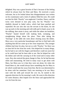delighted. Roy was a great favorite of Dan's because of the feeling which he always bore for Elsie and Mary. He received a warm welcome, but as he looked about him disappointment was written on his countenance and a look of sadness filled his eyes. He could see that his little "Peachy" was neglected. Caroline, Nancy, and the twins were dressed in nice play suits, but his "Peachy" was shabbily dressed in faded calico, which had been patched and repatched. He saw also she was the servant in the home, for she was up early in the morning and with milk pail in hand, away to do the milking, then strain it away, and while the others ate breakfast, "Peachy" busied herself with making beds, sweeping, and straightening things about the place. Then after taking the "leavings" at the table she went about clearing away the dishes. Myra was a very particular housekeeper and free to find fault with anything that did not come up to her close inspection. The younger children had time for play, but not so with "Peachy," for there was no time left for her from her work. Otis helped her in many things, but he had to see with his fingers and therefore could not assist her as he could have had he been able to see. But he helped her with the dishes and with the carrying in of the wood and in many other ways. Roy also noticed the great change in Dan, for he had become silent and unassuming. He tried in many ways to get alone with Mary, but Myra saw to it that they were not alone, for when she found them so, she would always have something else for Mary to do which would take her away from him. But he was determined to be alone with her sometime. Early one morning as he saw Mary start with her milk pail toward the cow lot, he started in the opposite direction for his morning's walk. He went in this direction for some distance, then leaped over the fence and approached the cow lot from the rear.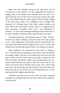Mary was busy milking, sitting on her milk stool, and all unconscious of any observer. As Roy approached he heard her singing, and as he listened tears streamed down his face as he again heard the voice of her who was long since lying in the silent city on the hillside some few miles distant. Elsie was again singing as she had sung to him in his childhood, and it brought back memories of a pleasant home with father, mother, brother, and sister before the cruel hand of death came in to separate them. Elsie possessed a beautiful voice, and it was reproduced in "Peachy." As Roy stood listening something stirred within him as he said to himself, "Some day others shall hear that voice also."

He approached Mary, who smiled as he said, "Here, 'Peachy,' let me try my hand at milking. It has been some time since I pailed a cow," and, sitting down on the milk stool, he convinced her in a very short time that he had not forgotten how to do it, for the milk streamed into the pail and soon the foam was running over the top.

Mary laughed at the expression he had used of "pailing a cow," and this made an opening for conversation. Roy had noticed her shabby clothes, and now as he looked at her feet he saw an old pair of shoes worn out, with scarcely any soles to protect her feet from the briars and thistles which were growing about the cow pasture where she had to go daily to drive the cows to the lot. Her shoes were laced with an old blue calico string, and a white string was tied to the end of her hair which hung in one braid down her back. She had not lost all the curl of her babyhood days, for her hair hung in little ringlets about her face.

"Wouldn't you like to go to town with me today?" inquired Uncle Roy as he looked into her face from where he was sitting on the milk stool.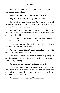"Would I?" exclaimed Mary; "I should say that I should, but that is not to be thought of."

"And why is it not to be thought of?" inquired Roy.

"Why, Mother wouldn't let me go," replied Mary.

"But we will ask your father," said Roy, "and if he says it is all right she will have nothing to say then. You leave it to me, and I shall ask him as we eat breakfast."

"But, Uncle Roy, I have nothing to wear," quickly replied Mary as a blush spread over her face and neck and she looked away across the field.

" 'Peachy,' do you mean to tell me that you have no dresses to wear?" inquired Roy as he rose from the milk stool.

"I have none better than the one that I have on," replied Mary, "and no other shoes than these either."

"But why do you not have?" again inquired Roy. "The other children all have clothes; why haven't you?"

"Mother says that I do not need them for I never go any place, and she says these are good enough to wear about home for me to work in," replied Mary.

"But where did you get them?" again questioned Roy.

"I made them out of some of Mother's old ones," replied Mary. "She often gets some new dresses and then she lets me have some of her old ones that I can make some for myself, and sometimes they are real nice, too."

"Do you make your own dresses?" inquired Roy.

57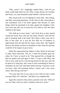"Why, surely I do," laughingly replied Mary; "who do you think would make them for me? Why, I make dresses for Caroline and Nancy, too, and sometimes make Mother's dresses for her."

They stood in the cow lot talking for some time—Roy asking, and Mary answering questions. At the close of that conversation a real resentment rose in his heart against Dan because of some things which he permitted to be done against the daughter of his own sister and who was as much his own child as were the other children in the home.

"We shall go to town today," said Uncle Roy as they started toward the house, Roy with one arm about "Peachy" and with the pail of foaming milk in his hand. How Mary's heart went out to Roy at that time, for it was the first little act of kindness or appreciation that she had had for many, many days. She lingered about as the family sat down to breakfast to hear what the outcome would be of his inquiry to go to town.

When Roy approached the subject to Dan, before he had time to reply, Myra answered, "Oh, no, I could not possibly spare her today, for I have so much to do." Roy ignored her as though she had not spoken and said again to Dan, "I want to take Mary and Otis to town with me for I am leaving shortly for the navy and will be gone for a long time, and I want to leave something for them to remember my last visit with them before leaving. You know we do not know what will terminate before I return, and I may never return. May they go with me?"

"You may take Otis if you want to, but I told you that I could not spare Mary for I need her," said Myra very emphatically.

Again Roy turned to Dan and in a positive tone said, "What do you say? May I take my sister's children with me to town?"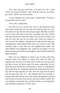"Yes, they may go," said Dan, as he gave his wife a look which was meant for silence; "and I shall go with you, too. Mary, get ready," and he rose from the table.

"I have nothing to do to get ready," replied Mary, "for this is the best that I have to wear."

"Very well," replied Dan.

We shall not try to picture the scene in the Dennison home when Myra found that for one time she could not have her way. Roy did not escape the bite of her sharp tongue. But Mary and Otis went to town with their Uncle Roy, returning with more clothes than they had had for some time. Mary had two pairs of shoes, one pair for every day and one for better wear, three new dresses, a new hat, new hair ribbons, and material to make herself some new undergarments. What pleased Mary most was a dress of soft, silky material, ready to wear. Otis was also supplied with clothes, and both children were delighted. Otis would run his fingers over the different garments that Roy had bought for him and then thank him again and again.

Myra was too indignant to speak to any of them when they returned home and refused to notice Roy when he took his departure the next day. Poor Mary had to suffer for the trip which she had to town, for Myra made life almost unbearable for her! Until this time she had not resented Otis so much, for although she did not like him, his misfortune called forth all the good that was in her, and she had sympathy for him. Now her rage must be spent, and she gave him part of it. She refused them the privilege of eating at the table with the rest of the family, giving them tin plates from which to eat their food and tin cans from which to drink. Her own children received the best, and then if there was anything left, Otis and Mary could have it if they chose.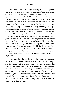The material which Roy bought for Mary was left lying in the dresser drawer for weeks, because Myra refused Mary the privilege of making it, as she always had something else for her to do. But again Dan came in as the head of the family, for Aunt Millie asked that Mary and Otis might visit her, and Dan inquired of Mary if she had made her dresses. When informed that she had not and the reason of it there was another scene in the Dennison home, and Mary began to prepare one dress by cutting into the goods. Myra then denied her the privilege of using the sewing machine, and she stitched her dress with her fingers and a needle, but as she was very neat it looked very well. Mary had sewed since a small child, for whenever she would get a doll she felt that she must have a good wardrobe for it. Every little scrap of goods large enough for use was made up into some garment for her doll. Then when there were others in the family with dolls, she kept them well supplied with dresses. Myra was delighted with this for it kept her from being troubled with making doll garments, and Mary delighted in doing it. In this way she became a neat little seamstress and was soon making garments for herself and for the children and then for Myra also.

When Mary had finished her dress she viewed it with pride, and as she had the dress ready for wear that Uncle Roy had bought her, she thought the two of them would be all right for the time that she would be with Aunt Millie. But when she went to get her dress, the one of which she had been so proud and had tried it on again and again in the secrecy of her own room, she found it covered with axle grease. It was completely ruined, and she could not wear it at all. There was another scene in the Dennison home, and Mary and Otis went to visit their aunt, although Myra did everything she could to keep them at home.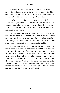Mary wore the dress that she had made, and when her aunt saw it she exclaimed at the neatness of it but said, "Why, Mary, dear, why did you not make it with the machine? Your mother has a machine that stitches nicely, and why did you not use it?

Upon being informed as to the reason, she then had Mary to rip the dress apart and stitch it on her machine, but when Mary returned home after Myra saw what had been done she again ripped the dress apart and Mary had to put it together again, stitching it with a needle.

How unbearable life was becoming, yet Dan never took his place in the home as he should until aroused beyond further endurance and then there would always be a scene! So Mary kept many things from him for fear of such, for after a scene in the home Myra would usually avenge herself on the children.

But there were some bright spots in her life, for after Roy joined the navy, he never failed to write to his little "Peachy" girl. There came letters to her from Panama, Cuba, South America, Hawaii, and the Philippines. Many times he would send them some curios from different places and often money so that Mary no longer had to clothe herself in Myra's old dresses. She delighted also in answering Roy's letters, but her heart was starving for the love of a tender, sympathetic, understanding parent. Aunt Millie took special interest in her, and their talks together helped Mary to develop into a girl with bright and noble ideals.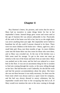# **Chapter X**

Roy Harmon's letters, his pictures, and curios that he sent to Mary had no incentive to make things better for her in her stepmother's home. Instead things grew worse and worse until at the age of fourteen life was almost unbearable to her. Practically all the work of the home was left to her, but try as she might there was never anything done just right. Her stepmother never failed to humiliate her all she could if anyone chanced to be there. There were two more children in the home now—Henry, aged two, and a small baby girl, Rosa, just three months of age. As more children came into the home there was less room for those who were there, and so Mary was crowded out. At the rear of the kitchen was a little room used for storage. To get to the room one must go entirely to the rear of the house and enter from an outer door. Mary was pushed out to this room, and her bed was reduced to a straw bed on the floor. It was not an uncommon thing for her to awaken to find rain coming through the cracks, or the snow sifting through on her face. She had become a real Cinderella, for she did the work and had the poorest accommodations about the place. She knew she was not there because it was really necessary, for there was the front room which was always used as a spare room for company, and the bed was always dressed in snowy whiteness; but her stepmother would never hear to her occupying that bed at all. If Mary would ever mention the rain or the snow coming in through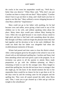the cracks in her room her stepmother would say, "Well that is better than you deserve." When Mary said, "Why don't you put Caroline out there to sleep with me then?" Myra replied, "Caroline doesn't have to go out there to sleep, and I shall teach you how to speak to me like that." Mary suffered a severe whipping because of what Myra called her "impertinence."

Mary could not go to her father with anything, for he had become cross and sullen, never giving a kind word to any of the children nor to his wife, and seldom speaking when about the place. Many times days would pass without Mary hearing his voice. Often she was glad because it was nearly always raised to high pitch and that to find fault with something about the place. But through it all Mary could not forget the pleasant times they had had together and his devotion to her in her early childhood. She could not think that her father was altogether bad when she recalled pleasant memories of the past.

Winter had passed and time came to close the district school. After a short program given by the pupils in the school it was to be closed with an old-fashioned spelling bee. Caroline and Nancy had been attending school and were given a part in the program. As an invitation was given to all the parents to attend, Myra made preparation to go with the children—planning on Mary's remaining at home to care for the younger ones. Mary longed to attend that spelling bee, but she did not know how to arrange it that she might go, for she knew if she should mention the fact to her stepmother there would be no chance for her to get there at all. So the days went by and the evening came for the program and the spelling bee. They were all seated around the table when Myra said, "Dan, I want you to get cleaned up a little and go with me tonight to the schoolhouse."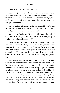"Huh," said Dan, "and what is that for?"

Upon being informed as to what was taking place he said, "And what about Mary? Can't she go with you and help you with the children? I do not care to go at all, and do not mean to go, but I shall keep Elmer and Ellen, and I think that you and Mary can manage the rest of them."

Here Myra flew into a rage, as she very often did, but Dan had become very obstinate and he said, "Very well then, if Mary doesn't go none of the others need go either."

So turning to Caroline and Nancy he said, "Do you hear what I said? You need not go to the schoolhouse this evening for your mother is not going and neither am I."

There was another scene in the Dennison home in which Dan came out the victor, for Mary went to the spelling bee that night with Otis holding on to one arm and carrying baby Rose in the other arm. She was dressed in a garment made from one of her stepmother's old dresses, and her shoes were laced with a calico string, but her heart sang because she was attending the spelling bee.

Miss Myers, the teacher, met them at the door and took Caroline and Nancy to their places among the other pupils. The Dennisons were not the first ones there, and more kept coming until the house was filled. You could see eager expectancy written on all their faces as proud parents came to hear their children do their part in the program. Lanterns and lamps here and there about the room furnished sufficient light and there was chattering all over the room. Miss Myers looked at her watch again and again and seemed to be very much agitated for the time had come when she meant to begin the program and still one boy was not there. At the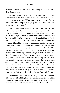very last minute here he came, all bundled up and with a flannel cloth about his neck.

Mary sat near the door and heard Miss Myers say, "Oh, I have been so uneasy, Mrs. Peffers, for I feared Fred was not coming and I do not know what I should have done had he not come, for you know he has the main part in the program and it would have been ruined had he stayed away."

"Well, I was almost afraid to let him come," replied Mrs. Peffers, "for really he has been sick all day and has such a sore throat and is so hoarse. I do not know whether he can take his part or not, but he says he means to go through with it. I know the boy has fever, although he will not admit it. I am afraid the night air will not do him any good, but maybe it will not make him any worse for I have him wrapped up extra good, and have a piece of flannel about his neck. I told him that he might remove that while he is doing his part in the program." Miss Myers then led Mrs. Peffers to a seat near the front. The program began with the children all taking their places and doing their part. Caroline's and Nancy's names were called, and they each gave a recitation. Mary's heart beat a rat-a-tat in her bosom as they each delivered the recitation that she had taken so much pains to help them commit to memory, and as they did their part without any blunder she felt that she had been rewarded for all her efforts. How cute they looked in their new dresses and hair ribbons; dresses that Mary had made for them! Mary felt proud of them as she listened to them speak their pieces that night before that houseful of people.

The little ones were first on the program and then came the older pupils with a little play, "The Old Schoolmaster," in which Fred Peffers took the part of the old schoolmaster. He came before his pupils in frock tail coat, whiskers, and spectacles with a rod in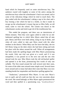hand which he frequently used on some mischievous boy. The audience roared with laughter at some of the antics among the mischievous boys when the schoolmaster's back was turned, and at some of the ridiculous things which he tried to teach them. The play ended with the schoolmaster's taking a nap in his chair and a boy loosing a bee which he had in a bottle, so that it made its escape up the schoolmaster's trouser leg just as Miss Sally, an old maid, came to visit the school. The curtain was drawn as the schoolmaster awoke and tried to get rid of the troublesome bee.

This ended the program, and there was an intermission of fifteen minutes. Then they were again called to order for an oldfashioned spelling bee in which Miss Myers asked that all take part. Henry and Rose were both asleep, lying on top of desks, and when all were called to take part Myra stood with the other mothers in the district. When Mary saw her leave the baby, she too left Henry lying on the desk where she had been sitting and took her place with the others around the wall. When all arrangements had been made the spelling began with Miss Myers pronouncing the words. Only one trial was given at a word, and if it was misspelled, it was passed on to the next one and the one who missed took his seat. Miss Myers took the old red-backed speller and opened it at the front, pronouncing first words of only one syllable. The first round around the wall several took their seats, for some of the older ones missed some simple word. Several times more around and so many had taken their seats that Mary was now standing beside her stepmother and therefore spelling against her.

"Audacious," pronounced Miss Myers. It was now Myra's turn to spell, and all could see that she was very uncertain about the word. She stood haltingly as Miss Myers again pronounced the word and then spelled in a questioning way, "a-u-d-a-s-h-u-s."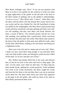Miss Myers smilingly said, "Next." It was not any question with Mary as to how it was spelled, for she could see it in her own mind on page eighty-three of the speller on the left side of the book in the third column of spelling, and so she spelled it unhesitatingly, "a-u-d-a-c-i-o-u-s." Miss Myers said, "Correct," while Myra took her place with the others who had missed their words, but her face was scarlet and her eyes flashed fire. She felt humiliated in being out spelled by her stepdaughter. But Miss Myers kept pronouncing words and those around the wall kept spelling until there were only two left standing, and they were Mary and Frank Fletcher, the latter a cousin of Myra's. Five minutes passed, and the two were still standing, each spelling with a positiveness which convinced their listeners that they knew the words. Miss Myers then turned to the back of the old speller to find some more difficult words, when off the desk rolled Henry, landing in the seat below and letting out a frightened scream.

Myra rose to her feet and in a sharp tone of voice said, "Mary, I think you have stood there long enough; if you had been there with your little brother where you belong he would not have rolled off the desk. Go on now and take care of him."

Mrs. Peffers had already lifted him in her arms and silenced him, so that he lay back in her arms and went to sleep again. She said, "Let her alone, and I shall see after him." So Mary kept her place beside Frank, spelling her words positively. Frank stumbled over some of his words uncertainly, but Mary caught her words and from the first letter to the last letter there was not an uncertain action about her. She knew them, knew just where they appeared on the page in the old speller, and could see them in her mind as Miss Myers pronounced them to her.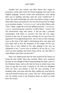Another leaf was turned; and Miss Myers then began to pronounce words taken from the French language and used in the English language. Several words were pronounced, each taking their turn in spelling, and then came the word "rendezvous" to Frank. He stood hesitatingly for some time before trying to spell. When Miss Myers pronounced it for him the second time he began in an uncertain manner, "r-e-n-d-a-v-o-u," and as Miss Myers said, "Next," Mary caught the word and spelled positively, "r-e-n-d-e-zv-o-u-s," pronouncing the word also. At Miss Myers' "correct" the old school-house rang with cheers. It did not take a personal acquaintance with Myra to convince one that she was angry because of the turn of events that evening, for her face bore the appearance of an approaching storm. Just as soon as they could get away at the close of the night's entertainment they were gone and poor Mary had to bear the sharpness of her tongue all the way home. But as Otis walked by her side, holding to her arm, he whispered to her, "I never was so tickled in all my life as I was when you beat spelling, and I know Papa will be, too. But didn't it make Mother mad when you beat her?"

Mary was indeed proud that she had carried off the honors of being the best speller there that evening. Many were surprised because no one thought of Mary being anything else than a slave in the Dennison home, and as she had not been to school since nine years of age this was truly a surprise to all. Dan was delighted when the news was broken to him the next morning at the breakfast table, and when told that Mary spelled the word that his wife had missed he burst into a loud, "Ha! ha!" which opened the way for another scene in the Dennison home on which we shall draw the curtain.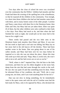Two days after the close of school the news was circulated over the community that the Peffers' children had measles and that Frank had them the evening of the spelling bee at the schoolhouse, so that he exposed all the children in the community. True enough, in a short time those children who had not had measles came down with them, and in many homes some of the older people. Caroline and Nancy came down with them first in the Dennison home; then Ellen and Otis; but Mary had not yet taken them. Ellen was quite ill of them, but the other children were only confined to their beds a few days. Poor Mary had much to do, and then when she had finished her work at night, she would pile on her straw bed in the lean-to for a night's rest.

Three weeks had passed and the two little ones in the Dennison home took measles; then Elmer and Mary. It was now the last week in April and a cool rain was falling, but Mary lay on her straw bed in the old lean-to off the kitchen. There had been another scene in the home. Dan was going about in one of his sullen moods; and Mary had been sick for two days before he inquired as to why she was not about the place. About this time Otis stole up to him and said, "Papa, Mary is awful sick; she won't talk to me at all, and her bed covers are as wet as can be."

"Well, where is she?" inquired Dan. Otis led him to the little storeroom, and there he saw his eldest daughter on her straw bed, damp from the rain that had come through the cracks in the wall. He saw she was quite ill and that something must be done. When he informed Myra of her condition, she said, "Well, she is your young one, not mine, and if you want anything done for her do it."

Dan was not slow in doing something, for he immediately went to the spare room and with the aid of Caroline soon had the bed ready for Mary, only to be opposed by Myra, who declared she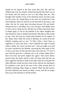should not be placed in the best room they had. She said her children got over the measles without having the best there was in the house, and she meant to see to it that Mary did, too. This brought forth another scene in the Dennison home, but Dan came out the victor, for, taking Mary in his arms, he carried her to the front bedroom where he laid her on the best bed in the house, and where she lay for many days hovering between life and death. Pneumonia set in, and Mary was a very sick girl. Aunt Millie came to Dan's aid in caring for her, and the two of them nursed her back to health again. It was by the bedside of his eldest daughter that Dan Dennison came to himself and found what Mary really meant to him. Over and over he would chide himself for his neglect of her. Many times while she raved in delirium, he would sit by her bedside weeping and cry out, "O Elsie, Elsie; I have been so neglectful of yours and mine. I have forfeited the right of being called a father, for I have not been one." And one night as he and his sister watched by her bedside, expecting the little spark of life to flee at any time, he fell upon his knees and cried out, "O God, if you will but spare her, I promise you to be a better father than I have ever been and never neglect her again." Her severe illness proved what she really meant to him. He knew that had she not been neglected and left to sleep in the open when ill of measles the other affliction would not have come on her. But he was untiring in his attention to her and in his care of her. After several days of doubtful watching, Mary began to amend. When she did recover the front bedroom was known as Mary's room, and she no longer had to go to the old lean-to off the kitchen.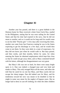# **Chapter XI**

Another year has passed, and there is a great hubbub in the Denison home for Mary received a letter from Uncle Roy, mailed in the Philippines, stating that he was soon sailing for the United States and that his time had expired in the navy, that he did not mean to reenlist, and so it would not be long until he would come to see his little "Peachy girl." A few days after receiving this letter, another one came from San Francisco stating he was in the States expecting to get his discharge in a few days, and he would then come to see them. So they were daily in a state of expectancy, for they did not know just when he would walk in. But days passed, and then weeks, and then months, before he came, for when entering the States he obtained employment which kept him close so that he could not get away often, and so Mary contented herself with his letters, although her disappointment was very great.

But Mary's life was not so hard, for there were many bright spots in it. Dan was indeed a changed man and very kind and tender to Mary. This only enraged Myra all the more, and often she told Dan he cared for no one but Mary, and Mary surely did not escape her sharp tongue. Dan did indeed care for Mary, and his tenderness toward her now was meant to be doubled so that he might in some way atone for the neglect of bygone years. She no longer had to dress in cast-off clothing, for when the other children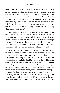got new dresses there was always one or more new ones for Mary. As she was neat about sewing, her clothes always looked nice, and she was developing into a beautiful young lady. After her illness, she lost all her hair, and now it hung in a mass of curls about her shoulders. Dan would often run his hands through her hair and say, "My old curly-head," proud of the fact that her hair hung in curls. It had been dark before her illness, but now was a glossy black. Otis would often run his blind fingers across her head and say, "Such pretty, pretty curls."

Such attentions to Mary only angered her stepmother all the more, and she resented it with all the power there was in her, threatening many times to wait until she caught Mary asleep and cut the last one of them off close to her head. But she did not get this opportunity, and, as she was so often cruel to extreme with Mary and Otis, doing things that were so unnecessary, Dan held a conference with Mary one day which brought desired results.

In the Dennison's community, the women often came together to quilt, and Myra invited a number of her neighbors to her place for a quilting. They were about twelve in number, and they came in the morning, remaining to dinner. Myra had been busy with the women about the quilt, leaving Mary to see to the cooking of the dinner. Mary was stirring up some dough when Myra came to the kitchen to get a saucer to make some round markings on the quilt, and when opening the cabinet door to get the saucer, she knocked the bowl containing the dough off, and it landed bottom side up on the floor. She flew into a rage and began to heap abuses on Mary for letting the bowl sit there. Mary went about cleaning up the mess that was made on the floor, and Myra returned to the room where the women were, telling what a time she had with Mary and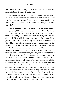how careless she was, stating that Mary had been so awkward and knocked a bowl of dough off on the floor.

Mary heard her through the open door and all the resentment of her soul went out against her stepmother, and, rising, she went into the room and confronted Myra, saying, "Now, Mother, you know that is not true at all, for you know that you upset that bowl yourself."

Here Myra turned toward her and with her voice pitched high in anger said, "I'll teach you to dispute my word like that," and, raising her hand, tried to strike Mary on the face, but Mary was not there as she dodged the blow, and when she straightened herself, she struck Myra with her open hand across the mouth. Those present stared open-mouthed as they saw these two return blow for blow. Mary was quicker than Myra, and so dodged many of her blows. Soon Myra sank into a chair and told Mary to behave herself. Mary was so angry she could not control herself and there before those women told Myra of the past, of the threats made, of the many brutal beatings she had given her, and of putting her out in the lean-to to sleep and trying to make her stay there when she had measles. No one present interfered, and so Mary was left to have her say. She took advantage of the opportunity. She told her stepmother that her father had told her to do this very thing the next time she tried to punish her unjustly, and she did it and concluded by saying, as she pointed her finger in Myra's face, "And I never expect to take another beating from you, for from now on the beatings will go the other way." As this was the first time that Mary had ever done such, Myra sat dumbfounded, and then tried to silence her. After some time Mary became quiet, and then, returning to the kitchen, completed the dinner.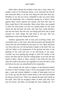When Myra related the incident of the day to Dan, there was another scene in the Dennison home, as he informed her that he had instructed Mary to do the very thing she had done that day. Needless to say she was never compelled to take any more abuse from her stepmother, but a bitterness sprang up in Myra's heart against Mary which ripened into hatred, and from that time on Mary made Myra's life miserable. Many times Myra was tempted to drive her from home, but she was needed badly for the work which she did and then she knew also that Dan would interfere, and she also knew that she now was being paid back and in good measure for some things she had done in the past. She was beginning to reap some things she had sown.

Summer approached with its heat and scorching winds, and everybody busy on the farm. Dan had harvested and threshed his wheat and oats and finished his last piece of corn. Mary had been very busy that year, for she had been a helper in the field. She was with her father in the preparation of the ground and then in the planting of the seed and also in the harvesting of the grain. Caroline was now getting big enough to assist her mother in the house, but Myra did not find the willing helper in her that she had found in Mary. Much as Mary assisted in the field she also did what she could in the house, but regardless of what she did or what she did not do, she was unmolested by her stepmother.

One evening, the last week in August, as the Dennison family sat down to their evening's meal, a livery rig stopped at their front gate, a man and woman alighted, a couple of hand grips were set out of the rig, and the driver turned about in the road and headed his horses toward town. These two opened the gate and started up the walk. They did not recognize either of them until they were near the house, and Mary ran through the room calling out, "It's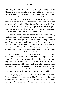Uncle Roy; it's Uncle Roy." Soon Roy was again holding his little "Peachy girl" in his arms. He then presented the lady with him as her Aunt Ethel, and as Mary felt her warm handclasp and the loving caress on her cheek, her heart went out to her, and she in turn loved the curly-haired niece of her husband. Dan and Myra received them cordially, and all noticed the tears that fell from her eyes as Aunt Ethel felt the blind fingers of Otis pass over her face, as he tried to "see" his new Aunty. A pleasant evening was spent together, and before the Dennison family retired for the evening, Ethel had found a warm place in each of their hearts.

Roy and his wife had not been with the Dennisons very long until Dan found the object of their visit. Roy had seen how Mary's education had been neglected, and he asked that he might take her and Otis and educate them. He approached Dan the next day after his arrival, and was asked that he might consider it for awhile. At the end of the third day he told him, and then the children were consulted as to their desire. When Mary was informed as to the desire of her uncle, she fell on her Aunt Ethel's neck and wept tears of joy, for the desire of her heart was now to be realized, and she could go to school at last. Otis, too, was delighted beyond words, for he was to be sent to a school for the blind in the same city where Uncle Roy lived. The next few days were spent in making preparation, with Myra moody and sullen. But she could say nothing and did not until the morning of their departure, when there was another scene in the Dennison home which made Uncle Roy more determined than ever to care for his sister's children.

During the preparation for the children to take their departure, Ethel marveled at the deftness of Mary's fingers, and her neat sewing, and she would sit in admiration of the girl as she sat at the sewing machine or bent over the table either sewing or preparing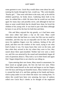some garment to sew. Uncle Roy would often come about her and, running his hands through her hair, would say, "My curly-headed, 'Peachy girl.' " Dan went with them to the train, and, as he told his children good-bye, he broke down. Gathering them both in his arms, he sobbed like a child. He knew that he would not see them again for many days and possibly never, and although he had not done as some would think that he should have done, he loved the children of his young wife. It was hard to part with them although he knew it was all for the best for both him and them.

Otis and Mary enjoyed the trip greatly, as it had been some time since either had taken a trip on the train. Mary could remember when she had been on a train, but Otis was too small to remember, and this trip was an enjoyable one for him. He would move his sightless fingers over the cushions, feeling of the soft plush, and then over the window of the coach, trying to see what kind of place it was. For many hours they were on the train, and then when they arrived in the city where they were to live, they stared about them open-mouthed. Neither had ever seen a street car, and Otis was attracted by the sound and immediately began all sorts of questions about it. They took a car to their home and again Otis' fingers helped him to see what he was riding on.

Upon entering their new home, Mary stared in amazement, for there stood an upright piano, the first she had ever seen. When Aunt Ethel seated herself on the stool and began to run her fingers over the keys and bring out beautiful music, Mary looked on top of it, around the back of it, and then, getting on her hands and knees, tried to peep under it to see where the music was coming from. To others this would have been very amusing, but tears of sadness rolled over Uncle Roy's cheeks as he thought of the neglected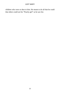children who were so dear to him. He meant to do all that he could that others could see his "Peachy girl" as he saw her.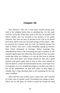# **Chapter XII**

Roy Harmon's wife was a very pious woman, giving more heed to her religious duties than to anything else, for she made God first in her life. When Roy came to the city, he boarded with Ethel's mother and was attracted to her because of her godly character. Roy had not been as devoted to his God as he should have been, and he soon saw his shortcomings in this respect. After he renewed his covenant with his Lord, his interests became the same as Ethel's and soon a warm friendship sprang up between them which terminated in marriage. Before marriage, Roy unburdened his heart to her concerning his sister's children. It was mutually agreed upon that when they had a home of their own they would take these two children to it and do their best to educate them. Now these plans were being carried out. Roy had a good position with good wages, and as soon as they were married he took his bride to a home he had furnished for her. Each knew how to economize. In a few months they began to see their way clear to pay off the indebtedness on their little place; so they began to consider Roy's long cherished plans to do something for his only sister's children.

Mary and Otis were in their uncle's home now, and it seemed as if they were in another world. Everything was strange to them. There was no soft grass on which to tread, but instead the hard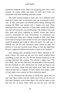pavements along the street. There was no gazing away over a wide expanse of country fields and lanes, for their new home was surrounded with other buildings and other homes.

The home seemed strange to them also, for it differed much from their former one. In this home God was reverenced in every way. At each meal grace was offered before eating. Morning and evening the Bible was opened and a chapter was read. Then, kneeling before God, Uncle Roy or Aunt Ethel would offer thanks unto him and invoke his care and blessings. The children went with their Aunt and Uncle regularly to Sunday school and church services. Surrounded by such environment, an impression was soon made upon them and a change wrought in them. Aunt Ethel never tired of trying to instruct them for she saw material there that could be polished and made to shine for good. The task was a difficult one, but the real missionary spirit within her gave her patience to wait and overlook many things so that she might help the poor, neglected children that meant so much to her husband.

One evening after attending services Mary returned to her uncle's home. All could see she was very much troubled about something as truly she was, for she had listened attentively to the message delivered that evening. The minister's subject was "The New Birth." He not only laid down the principles of the new birth, but the essentials as well, stating that one could not hope to see God or see those whom God had called away from this world unless he had been a recipient of God's Spirit, been made a child of God, made a new creature in Christ, been born again.

As he mentioned the necessity of being born again that we may meet those whom God has called away from us, the face of little baby Margaret came before Mary. She saw her again as she had seen her so many times, smile up into her face, and she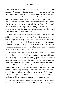remembered the words of the minister spoken at the time of the funeral, "You cannot bring her back, but you can go to her." She also remembered the decision made that someday she would go to her. She remembered the deepening of that decision when Grandma Harmon was taken away from them. Mary was very quiet as they walked home from services and after reaching home. She listened very attentively as Uncle Roy read again from God's Word. As they knelt for prayer something stole over her as Aunt Ethel began to pray. Bursting into tears, she cried out, "Oh, I want to be born again, but what must I do?"

It was not an easy matter to instruct the penitent child. Ethel did her best. Roy agreed in prayer with her. They tarried until past the midnight hour, praying to God to enlighten the child and inspire faith within her soul. In the early hours of the morning, light broke through the darkness and Mary knew that she had been born again. She rejoiced that she now had the assurance of meeting baby Margaret and Grandma Harmon.

A new task now opened for Aunt Ethel. She had to instruct Mary in the things of the Lord, and that in an understandable way. Mary was eager to learn and asked many questions. In this way her aunt got much truth to her. To Mary this new experience was unexplainable for again it seemed that she had been transported to a new world. She tried to do everything that she thought might be required of her to do and took her place in the home with the family in their daily worship. Sometimes she would only read some Scripture and then again her voice would be lifted in prayer. She really hungered for more and more of the Lord's richness in her heart. In this her aunt was untiring in trying to teach her.

Mary had been enjoying this new experience for a few weeks when she came to her aunt and said, "Aunt Ethel, I am very much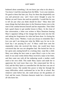bothered about something. I do not know just what to do about it. You know I read this morning from the Bible, 'Love your enemies. Do good to them that hate you. Pray for them that despitefully use you and persecute you,' and I have never thought to pray for Mother yet and I know she used me spitefully. I would like for you to tell me just what you think should be done." Mary then told many things that had taken place in the Dennison home even to the time of the combat between herself and her stepmother. Then Ethel had a good chance to get another lesson to Mary. At the close of that conversation, a letter was written to Myra Dennison bearing Mary's signature telling of the change that had come into her life and asking her forgiveness for what had been done. In closing the letter, Mary wrote, "Mother, I want you always to remember that I love you and I am doing just what the Bible says for me to do. Each day I am praying for you." If Mary could have seen her stepmother when she received this letter, she would have been convinced that she was not altogether bad. She buried her face in her apron and, seating herself in a rocking chair, wept like a child. Mary was taking the best route to open Myra's eyes to her own need. It was some weeks before Mary received a reply to her letter, and then came one with all the endearing words a mother could send to her own child. This made Mary rejoice and made her to appreciate the Lord more than ever. She consecrated her life to God, and the Holy Spirit so controlled her life that hers was one of constant victory. She needed this power to help her through the many difficulties which confronted her in her life at school. But whatever came before her, she could always see the goodness of God, and her sweet, Christian character made her a favorite with all who knew her.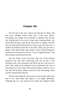# **Chapter XIII**

The first day in the city's school was torturous for Mary. She had never attended school other than in the rural district. Everything was strange and everybody so different that she felt like rushing back to her uncle's house and remaining there. Her Aunt Ethel had gone with her the day before to register, but here she was alone and she did not know where to go nor what to do. A number of students passed her in the halls. Some only gave her a glance, while others made rude remarks. Some of them passing by would jeer at her and say to others, "Look; a regular hayseed," and these remarks would reach her ears.

She was ready to burst into tears when one of the teachers passed by her and, after conversing with her, led her to the assembly room. How lonesome and fearful she felt, and so out of place! She could not be ashamed of her clothing for she was as well dressed as any of them. Her uncle had been careful to see to that. But all the other students acted free and unassuming, while she felt cramped and awkward.

The first day passed by; the second was not so bad; and by the end of the week Mary had begun to see things differently. Although she was very awkward for awhile she adapted herself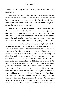rapidly to surroundings and soon felt very much at home in the city schoolroom.

As she had left school when she was nine years old, she was far behind others of her age, and one great embarrassment was her being in a room with so many younger than herself. But she had a quick brain and went to work so that at the close of the first year of school she had advanced two grades.

Needless to say she was a favorite among all her teachers and all took a special interest in her. This made her schooling pleasant, although she met with many jeers and jestings on the part of the other pupils. At the close of her first term of school she enrolled among the students who attended the summer term and in this way was enabled to take a higher course at the opening of the fall term.

Otis was in school also. His uncle was well pleased with the progress he was making. But his schooling kept him away from home as he could not make the trip to and from school alone. So he remained in the school, having permission to be home every two weeks. At first Mary could scarcely pass the two weeks by, for since Otis' birth she had spent very few nights away from him and she missed him. But as her studies increased they occupied so much of her time that she had very little time left to think of Otis being gone. In a few weeks she could look forward to something good when he returned home, for Otis was also being educated in music and his fingers were becoming quite nimble as he swept them over the keyboard of the piano. He delighted in music, so made rapid progress. Mary took instruction also from Aunt Ethel. She could not make the progress Otis made although she soon could play the hymns they sang at church services. But Mary used her voice and practiced hard. She sang special songs at their church services and in their school assemblies that were greatly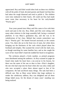appreciated. Roy and Ethel would often look on these two children with all the pride of fond, devoted parents and thank God that they had taken the rough diamond and tried to polish it. The children were truly endeared to their hearts. All could see Roy had made more room than necessary in his heart for his curly-headed "Peachy girl."

#### ≪া≪া

Four years passed since Mary and Otis came to live with their uncle and aunt in the city. Roy, Ethel, and Otis were sitting with many other relatives in the large assembly hall, facing a curtained platform. It was Mary's graduation day, and she was to be valedictorian of her class. Behind that curtain somewhere was Roy's "Peachy girl." He leaned forward anxiously as the curtain arose. Yes, there she sat in the front row of seats, her white dress bringing out the blackness of the curls which played about her forehead and temples. She scanned the crowd with her dark eyes, as though searching for some familiar face, and as she caught the wave of her Aunt Ethel's hand she nodded her head in recognition.

The orchestra played a lively number, as printed programs were distributed among the audience. As Roy scanned its pages he found what made his heart beat a rat-a-tat-tat in his bosom, for there was the name of the one so dear to him—Elsie's daughter, the one who had crept into his heart when she was only a baby and who now occupied a place there almost equal to that of his companion. He had sacrificed many things. The task had been a difficult one. But as Mary arose before that large audience to render the valedictory address, Roy was delighted and all these things faded away, for the dream of many years' standing was being realized.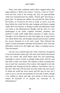There were other renditions before Mary stepped before that large audience to deliver her oration, "Success, a Lure to Youth." From the first word to the closing one, Roy sat open-mouthed while tears streamed down his cheeks. "Peachy girl" had chosen a good topic. In opening her address she pictured the future before her hearers, as viewed by the eyes of youth, in such a way that those before her could feel the same longings and desires surging within their own bosoms. A feeling of pride and admiration swept over them as she illustrated her thought with the story of a boy handicapped in his youth, crippled, homeless, penniless, and destitute of what youth might deem necessary to make success. Through it all he followed on after that bright star of hope which ever shone before him, and through constant perseverance reached the success dreamed of in his early youth. Then followed the names of many prominent statesmen and financiers who overcame difficulties, lured on by the bright star, Hope, in making success. Then she paused.

All eyes were centered upon her. None could have recognized in her the awkward country girl, who four years before had entered their city school. She stood before them free and unassuming, seemingly as much at home as though sitting alone with her aunt and uncle in their own home. The audience waited, straining their ears to catch the conclusion of her oration. She stepped to one side gracefully and, leaning toward the audience, elevated her voice as she said, "But some will say there are many noble men and women of whom the world has never heard, and this may be true, but I want to say to you that true greatness of soul and of spirit, though it be clothed in tatters and rags, and nursed in direst poverty, cannot be thwarted in its purpose nor overcome in its determination"

85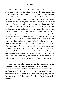She lowered her voice as she continued, "In the little city of Bethlehem a baby was born in a stable, cradled in a manger and lulled to slumber by the lowing of the oxen and the bleating of the sheep." Then followed a description of the early life of the lowly Galilean, a carpenter's helper, a wanderer without any place to lay his head and no plot of ground which he could call his own or which might rest his body when it was carried from Golgotha's hill. "But did he make a success of life?" The question came ringing out over the audience, and many leaned forward to catch the next words. "I say again greatness, though it be clothed in direst poverty, cannot be thwarted nor overcome. His path lay across the pathway of kings and governors, but he could not be stopped. As we look at the innumerable host of earth's millions who, in catching a glimpse of Golgotha's hill, fall down and render homage unto the lowly man of Galilee, we are made to cry out, 'He succeeded.' " She then turned to her classmates and, motioning her hand to emphasize her statement, said, "We, too, can succeed, for when we are partakers of his goodness and clothed in his greatness that star of hope will lure us on. When we shall have passed from time, and eternity dawns before us, others will say of us as we now say of him, 'Theirs was a successful  $l$ ife $'$  "

Mary took her place again among her classmates on the platform while the audience applauded. Roy and Ethel sat still looking first one way and then another over the audience while a deafening roar filled the auditorium. Roy could scarcely wait for the conclusion of the program to get to his "Peachy girl," for she had surely carried off the honors of the day in the rendition of that oration.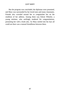But the program was concluded, the diplomas were presented, and Mary was surrounded by her loved ones and many classmates. Friends also crowded around her to congratulate her on the rendition of her address. Among them was Edwin Wheeler, a young minister, who smilingly tendered his congratulations, presenting her with a book also. As Mary smiled into his face all could see there was a mutual friendliness between them.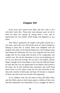# **Chapter XIV**

Seven years have passed since Mary and Otis came to live with their Uncle Roy. These have been pleasant years for all of them for there has sprung up among them a love and an appreciation for one another which brings real happiness in any home.

After Mary's graduation she taught in the grade schools for a few terms, and in this way relieved her uncle of a heavy burden by helping to keep Otis in school. Both were delighted with the progress Otis made, for he had developed into a fine looking young man despite his misfortune. He was very congenial and was much sought after by the young folks because of his congeniality and carefree way. He was the entertainer at every social gathering, for his wit was above the average. He was also a real student, and his fingers brought much knowledge to him from the different books he read. But Otis was not appreciated in his fullness until seated at the piano, for he had mastered that instrument and could bring music from it as few others could. He was also proficient on the harp and a teacher of both piano and harp. He became a composer of music also and in this way became self-supporting.

As no children came into the home of Roy and Ethel, Mary and Otis filled a place in their hearts equal to children of their own and their admiration was unbounded. It was a struggle for them to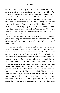educate the children as they did. Many times they felt they would have to give it up, but always there was some way provided. One time he applied to Dan for help, but as he received no reply, he felt assured that the letter had never reached Dan's hands. He wrote his brother David only to receive a surly letter in reply, informing him that David also had a family and was under no obligation whatever to deprive his family of anything to assist Elsie's children. If he did he would not expect anything else than that the day would come when they would give him the "high hat" because of it. They had a father and if he wanted any help to polish up Elsie's children call upon their father. So there was no one to whom he could turn. So Roy and Ethel struggled on. As they looked at the two children grown and doing for themselves they felt rewarded for all the efforts put forth. Ethel was often heard to say, "We are proud of our children."

June arrived. Mary's school closed and she decided not to teach the following term. When the officials pressed her for a positive answer, she told them she meant to leave the city. Teacher and pupils wept as she said good-bye at the close of school. They had endeared themselves to her and she herself to them, and it was not easy to separate. She felt as she looked over her pupils that she had instructed them in a way that would make them better citizens by having come in close touch with her. She always held out before them the greatness of One who will endow all mankind with greatness and all knew that Mary's life was one filled with his graces. Many boys who had been very unruly had been won by her kindness. She always held before them their good qualities and gave them something good to see, thereby letting the good overcome the bad in them, and making them realize what there was in life. She moved among them in such a way as to convince them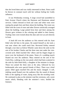that she loved them and was vitally interested in them. None could be thrown in constant touch with her without feeling her Godly influence.

It was Wednesday evening. A large crowd had assembled in Park Avenue Church where the Harmons and Dennisons attend services. Ushers dressed in frock tail coats and white vests were seating the people here and there about the building. The room was filled with the scent of roses and other flowers artistically arranged about the building. Large potted ferns here and there among the flowers gave richness to the coloring and added to their beauty. Trailing vines were twined about the altar and over an arch directly in front.

A hush fell over the audience as Otis entered with his Aunt Ethel who led him to the piano. He seated himself as she took a seat near where she could reach him. Reverend Kelley entered through a rear door as Edwin Wheeler came down the aisle on the arm of his brother Charles and the three men met under the vinecovered arch. Ethel touched Otis' elbow and his fingers began to move over the keyboard of the piano. Notes of a wedding march floated out over the audience. Mary entered on the arm of her Uncle Roy, walking on the rose petals which had been scattered in the aisle by little Ruth Kelly, a daughter of the minister in charge. These two joined the three men at the altar, followed by two bridesmaids who were special friends of Mary. There was a brief pause. Ethel again touched Otis and the music changed. A soft, tinkling sound floated over the audience like the sound of distant bells or the rippling of water, dying away like the receding wind. He continued to play as the minister read the ceremony, soft, sweet music which, blending with the minister's voice, thrilled the **listeners**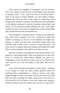"Who giveth this daughter in marriage?" said the minister. There was a pause as from the ends of Otis fingers came the sound of rippling waters. "I do," said Uncle Roy as he placed Mary's hand in the hand of Edwin Wheeler. He and Charles Wheeler stepped back from the altar as the sound of whispering winds through leafy branches was heard. This died away into nothingness as the minister continued to read the ceremony joining Mary and Edwin. As he pronounced them husband and wife, Ethel again touched Otis and as the sound of ringing bells was heard the bridal party turned from the altar and marched out.

"How beautiful!" exclaimed Mary's friends as she turned that they could catch a glimpse of her face. Wreathed in smiles she walked out leaning on the arm of her husband, her bright eyes shining. A bridal veil had been artistically draped about her forehead, held in place with a wreath of orange blossoms. The curls which ever played about her forehead and temple had found their way from beneath it and could be seen about her face.

After the ceremony many gathered in the Harmon home to say good-bye to the young couple. They were going away to their new home in a distant city, where Edwin Wheeler was pastor of a congregation, to take up their new duties, each to be a helper of the other and the two to be real helpers to the flock they were to pastor.

Uncle David had been persuaded to attend Mary's wedding. As he looked on while her many friends gathered about her tendering their congratulations, a sting of remorse and regret surged through his heart. He wished now that he could say he had had some part in making the noble young woman what she was. He returned to his own home a wiser and a better man, bearing a different feeling toward his brother than he had ever had before.

91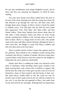He saw that unselfishness truly brings delightful reward, and he knew that Roy was enjoying real happiness of which he knew nothing.

Ten years have passed since Mary walked down the aisle on the arm of her uncle, meeting at the altar the young man whom she had selected to go through life with her, and these years have brought about many changes. In Mary's home is heard the prattle of childish voices. Two little girls and one little boy have made their appearance. First, Elsie May, then Mary Ethel, and then Daniel LeRoy. These three children have thrown about them all that make a home pleasant. Edwin and Mary are fond, loving parents, teaching their children of the God that means so much to both of them. Theirs is a happy home for love rules. Otis spends much of his time with Mary and her husband, although his home is with Uncle Roy. He delights to romp with Mary's children and they love their uncle as he loves them.

There is another inmate in Mary's home who requires much of her attention. Myra Dennison lies a helpless invalid, having been confined to her bed for a number of months. She has no other place to go but Mary would choose to have her remain for she delights in doing what she can to make her comfortable.

Shortly after Mary's wedding her father was injured by some piece of machinery while threshing which injury resulted in his death, leaving Myra with a house full of children to support. She did the best she could, but as they grew up they went out to do for themselves. Some of them married and had homes of their own. But when Myra's health failed so that she could not care for herself, none of them made room for her nor offered to help her in any way. It was then that she appealed to Mary, who made room for her and cared for her untiringly. Although there are impressions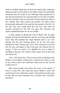made on childish minds that can never be erased, Mary swept past memories aside as she looked at the sufferer before her and kindly ministered unto her needs. In her sufferings Mary pointed her to one who has promised to be a present help in every time of trouble. She felt rewarded as she saw the smile of hope spread over Myra's face. Shortly after, Myra passed into eternity, but Mary's kind, loving hands ministered to her until the last moment of her life. As her tears fell, none would think that she bore other than the sweetest memories for her who was gone. Her reverence and respect equaled that borne for an own mother.

As Roy looked on during this trial of Mary's life, he again thanked God that he had taken her into his own home and through God's help had polished the rough diamond until it was now shining with the real Christian graces. As he one time more gathered his little "Peachy girl" (as he still continued to call her) into his arms and began to talk of the past, she silenced him by saying, "I have too much to be thankful for now to think of dwelling on the past. The comfort which comes to me at this time well repays me."

"Yes," said Uncle Roy, "but you have done something which Mother's own children would not do. Caroline has a home as well as you, and you know she could have made room for her, but she would not do it."

Mary stood proudly erect before her uncle as she replied, "I know it, Uncle Roy. She could have given Mother a home and cared for her if she would have cared to. She refused to make room for her. But you must remember she is Caroline and I am Mary, just Mary."